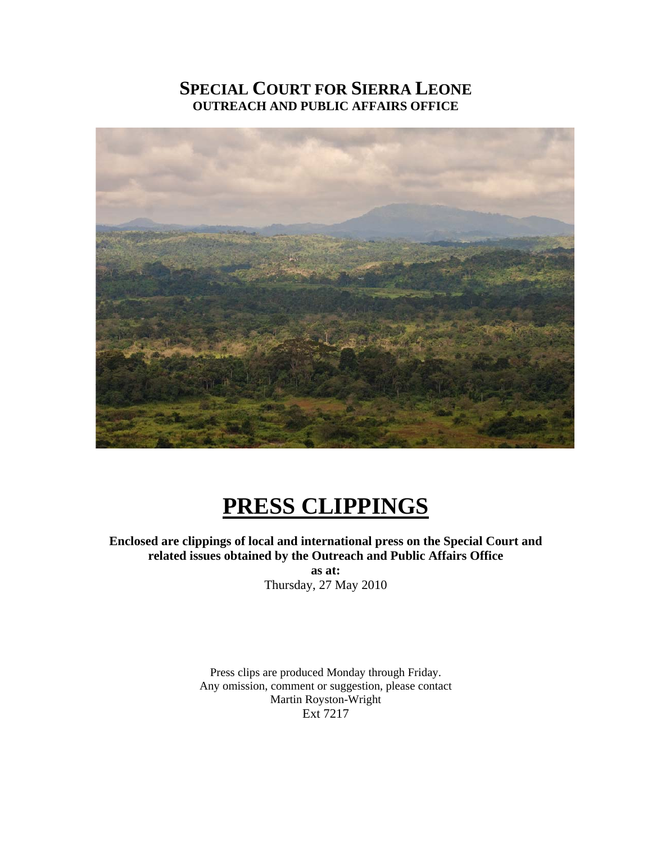# **SPECIAL COURT FOR SIERRA LEONE OUTREACH AND PUBLIC AFFAIRS OFFICE**



# **PRESS CLIPPINGS**

**Enclosed are clippings of local and international press on the Special Court and related issues obtained by the Outreach and Public Affairs Office as at:** 

Thursday, 27 May 2010

Press clips are produced Monday through Friday. Any omission, comment or suggestion, please contact Martin Royston-Wright Ext 7217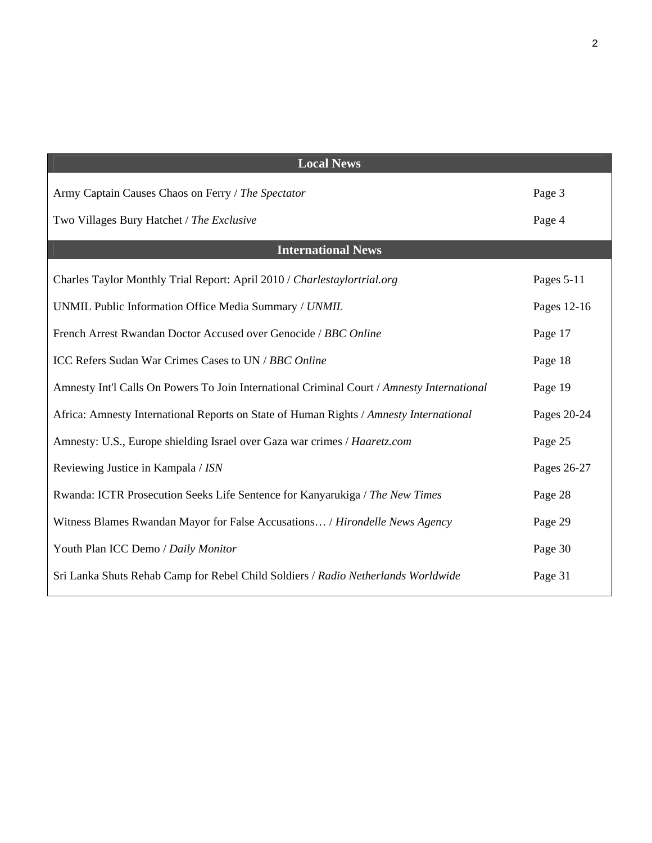| <b>Local News</b>                                                                          |             |
|--------------------------------------------------------------------------------------------|-------------|
| Army Captain Causes Chaos on Ferry / The Spectator                                         | Page 3      |
| Two Villages Bury Hatchet / The Exclusive                                                  | Page 4      |
| <b>International News</b>                                                                  |             |
| Charles Taylor Monthly Trial Report: April 2010 / Charlestaylortrial.org                   | Pages 5-11  |
| UNMIL Public Information Office Media Summary / UNMIL                                      | Pages 12-16 |
| French Arrest Rwandan Doctor Accused over Genocide / BBC Online                            | Page 17     |
| ICC Refers Sudan War Crimes Cases to UN / BBC Online                                       | Page 18     |
| Amnesty Int'l Calls On Powers To Join International Criminal Court / Amnesty International | Page 19     |
| Africa: Amnesty International Reports on State of Human Rights / Amnesty International     | Pages 20-24 |
| Amnesty: U.S., Europe shielding Israel over Gaza war crimes / Haaretz.com                  | Page 25     |
| Reviewing Justice in Kampala / ISN                                                         | Pages 26-27 |
| Rwanda: ICTR Prosecution Seeks Life Sentence for Kanyarukiga / The New Times               | Page 28     |
| Witness Blames Rwandan Mayor for False Accusations / Hirondelle News Agency                | Page 29     |
| Youth Plan ICC Demo / Daily Monitor                                                        | Page 30     |
| Sri Lanka Shuts Rehab Camp for Rebel Child Soldiers / Radio Netherlands Worldwide          | Page 31     |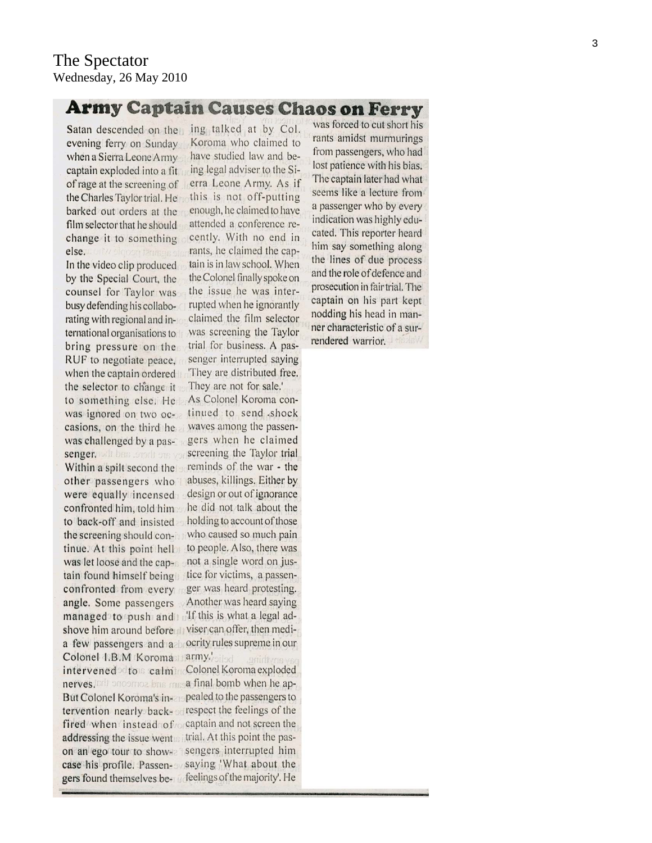# **Army Captain Causes Chaos on Ferry**

Satan descended on the evening ferry on Sunday when a Sierra Leone Army captain exploded into a fit of rage at the screening of the Charles Taylor trial. He barked out orders at the film selector that he should change it to something else.

In the video clip produced by the Special Court, the counsel for Taylor was busy defending his collaborating with regional and international organisations to bring pressure on the RUF to negotiate peace. when the captain ordered the selector to change it to something else. He was ignored on two occasions, on the third he was challenged by a passenger. off ban ororly only Within a spilt second the other passengers who were equally incensed confronted him, told him to back-off and insisted the screening should continue. At this point hell was let loose and the captain found himself being confronted from every angle. Some passengers managed to push and If this is what a legal adshove him around before wiser can offer, then media few passengers and a b ocrity rules supreme in our Colonel I.B.M Koroma army.' intervened to calm Colonel Koroma exploded nerves Indianosmoa bris misea final bomb when he ap-But Colonel Koroma's in- pealed to the passengers to tervention nearly back- respect the feelings of the fired when instead of captain and not screen the addressing the issue went trial. At this point the pason an ego tour to show-2 sengers interrupted him case his profile. Passen-sysaying 'What about the gers found themselves be- feelings of the majority'. He

ing talked at by Col. Koroma who claimed to have studied law and being legal adviser to the Sierra Leone Army. As if this is not off-putting enough, he claimed to have attended a conference recently. With no end in rants, he claimed the captain is in law school. When the Colonel finally spoke on the issue he was interrupted when he ignorantly claimed the film selector was screening the Taylor trial for business. A passenger interrupted saying They are distributed free. They are not for sale.'

As Colonel Koroma continued to send shock waves among the passengers when he claimed screening the Taylor trial reminds of the war - the abuses, killings. Either by design or out of ignorance he did not talk about the holding to account of those who caused so much pain to people. Also, there was not a single word on justice for victims, a passenger was heard protesting. Another was heard saying

was forced to cut short his rants amidst murmurings from passengers, who had lost patience with his bias. The captain later had what seems like a lecture from a passenger who by every indication was highly educated. This reporter heard him say something along the lines of due process and the role of defence and prosecution in fair trial. The captain on his part kept nodding his head in manner characteristic of a surrendered warrior.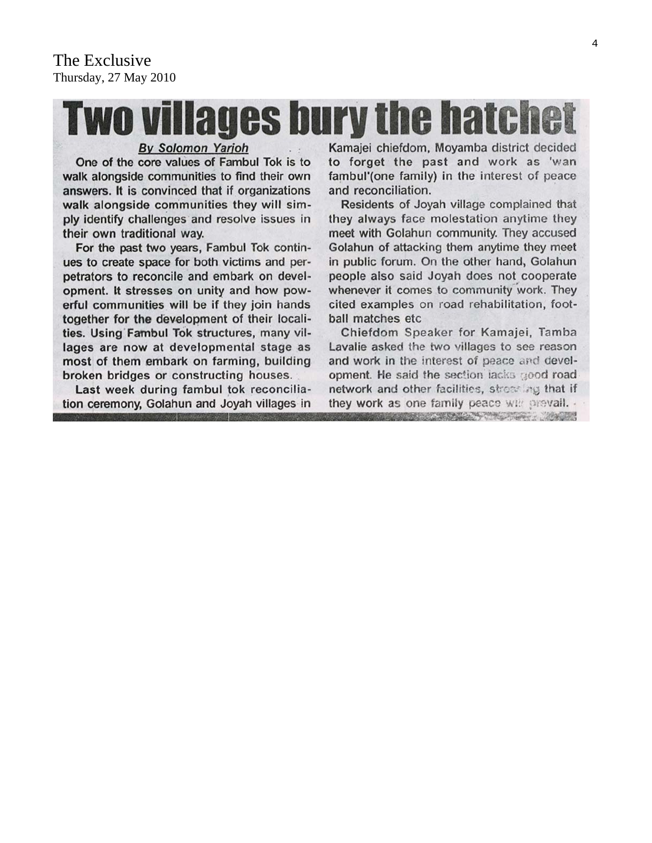# **Two villages bury the hatchet**

**By Solomon Yarjoh** 

One of the core values of Fambul Tok is to walk alongside communities to find their own answers. It is convinced that if organizations walk alongside communities they will simply identify challenges and resolve issues in their own traditional way.

For the past two years, Fambul Tok continues to create space for both victims and perpetrators to reconcile and embark on development. It stresses on unity and how powerful communities will be if they join hands together for the development of their localities. Using Fambul Tok structures, many villages are now at developmental stage as most of them embark on farming, building broken bridges or constructing houses.

Last week during fambul tok reconciliation ceremony, Golahun and Joyah villages in

Kamajei chiefdom, Moyamba district decided to forget the past and work as 'wan fambul'(one family) in the interest of peace and reconciliation.

Residents of Joyah village complained that they always face molestation anytime they meet with Golahun community. They accused Golahun of attacking them anytime they meet in public forum. On the other hand, Golahun people also said Joyah does not cooperate whenever it comes to community work. They cited examples on road rehabilitation, football matches etc

Chiefdom Speaker for Kamajei, Tamba Lavalie asked the two villages to see reason and work in the interest of peace and development. He said the section lacks good road network and other facilities, streasing that if they work as one family peace will prevail. **MARINE AND CONTRACT OF A REAL PROPERTY AND ADDRESS**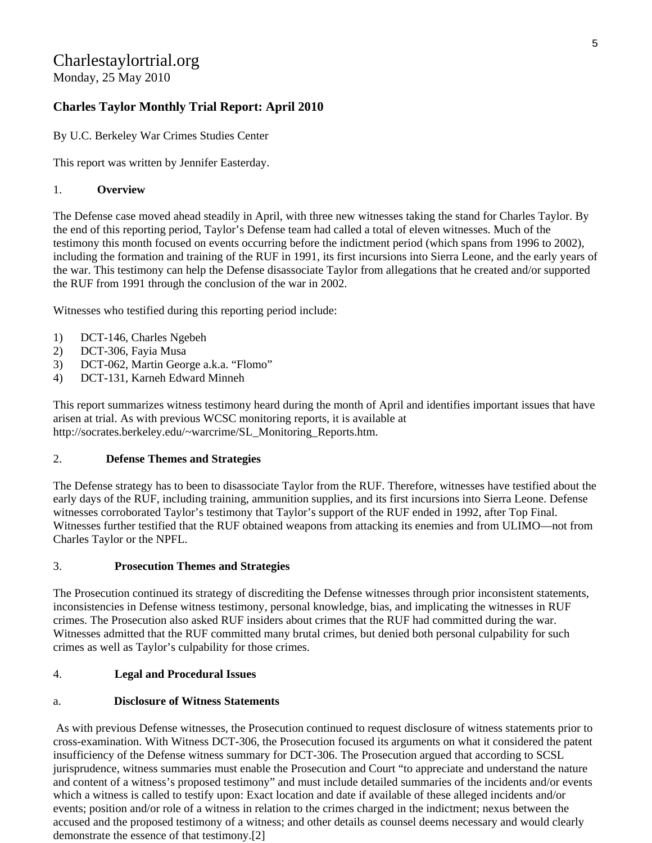# Charlestaylortrial.org

Monday, 25 May 2010

# **Charles Taylor Monthly Trial Report: April 2010**

By U.C. Berkeley War Crimes Studies Center

This report was written by Jennifer Easterday.

# 1. **Overview**

The Defense case moved ahead steadily in April, with three new witnesses taking the stand for Charles Taylor. By the end of this reporting period, Taylor's Defense team had called a total of eleven witnesses. Much of the testimony this month focused on events occurring before the indictment period (which spans from 1996 to 2002), including the formation and training of the RUF in 1991, its first incursions into Sierra Leone, and the early years of the war. This testimony can help the Defense disassociate Taylor from allegations that he created and/or supported the RUF from 1991 through the conclusion of the war in 2002.

Witnesses who testified during this reporting period include:

- 1) DCT-146, Charles Ngebeh
- 2) DCT-306, Fayia Musa
- 3) DCT-062, Martin George a.k.a. "Flomo"
- 4) DCT-131, Karneh Edward Minneh

This report summarizes witness testimony heard during the month of April and identifies important issues that have arisen at trial. As with previous WCSC monitoring reports, it is available at http://socrates.berkeley.edu/~warcrime/SL\_Monitoring\_Reports.htm.

# 2. **Defense Themes and Strategies**

The Defense strategy has to been to disassociate Taylor from the RUF. Therefore, witnesses have testified about the early days of the RUF, including training, ammunition supplies, and its first incursions into Sierra Leone. Defense witnesses corroborated Taylor's testimony that Taylor's support of the RUF ended in 1992, after Top Final. Witnesses further testified that the RUF obtained weapons from attacking its enemies and from ULIMO—not from Charles Taylor or the NPFL.

# 3. **Prosecution Themes and Strategies**

The Prosecution continued its strategy of discrediting the Defense witnesses through prior inconsistent statements, inconsistencies in Defense witness testimony, personal knowledge, bias, and implicating the witnesses in RUF crimes. The Prosecution also asked RUF insiders about crimes that the RUF had committed during the war. Witnesses admitted that the RUF committed many brutal crimes, but denied both personal culpability for such crimes as well as Taylor's culpability for those crimes.

# 4. **Legal and Procedural Issues**

# a. **Disclosure of Witness Statements**

 As with previous Defense witnesses, the Prosecution continued to request disclosure of witness statements prior to cross-examination. With Witness DCT-306, the Prosecution focused its arguments on what it considered the patent insufficiency of the Defense witness summary for DCT-306. The Prosecution argued that according to SCSL jurisprudence, witness summaries must enable the Prosecution and Court "to appreciate and understand the nature and content of a witness's proposed testimony" and must include detailed summaries of the incidents and/or events which a witness is called to testify upon: Exact location and date if available of these alleged incidents and/or events; position and/or role of a witness in relation to the crimes charged in the indictment; nexus between the accused and the proposed testimony of a witness; and other details as counsel deems necessary and would clearly demonstrate the essence of that testimony.[2]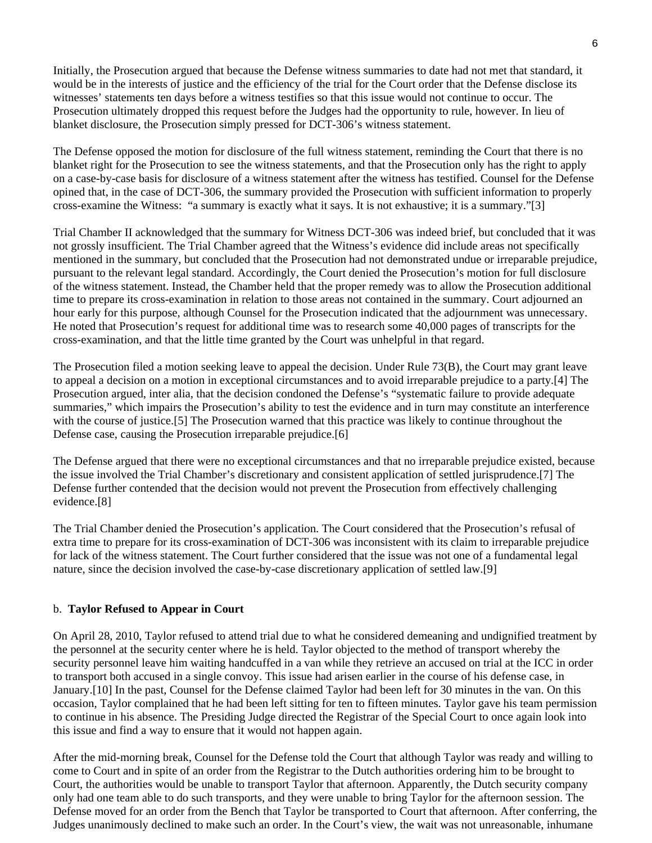Initially, the Prosecution argued that because the Defense witness summaries to date had not met that standard, it would be in the interests of justice and the efficiency of the trial for the Court order that the Defense disclose its witnesses' statements ten days before a witness testifies so that this issue would not continue to occur. The Prosecution ultimately dropped this request before the Judges had the opportunity to rule, however. In lieu of blanket disclosure, the Prosecution simply pressed for DCT-306's witness statement.

The Defense opposed the motion for disclosure of the full witness statement, reminding the Court that there is no blanket right for the Prosecution to see the witness statements, and that the Prosecution only has the right to apply on a case-by-case basis for disclosure of a witness statement after the witness has testified. Counsel for the Defense opined that, in the case of DCT-306, the summary provided the Prosecution with sufficient information to properly cross-examine the Witness: "a summary is exactly what it says. It is not exhaustive; it is a summary."[3]

Trial Chamber II acknowledged that the summary for Witness DCT-306 was indeed brief, but concluded that it was not grossly insufficient. The Trial Chamber agreed that the Witness's evidence did include areas not specifically mentioned in the summary, but concluded that the Prosecution had not demonstrated undue or irreparable prejudice, pursuant to the relevant legal standard. Accordingly, the Court denied the Prosecution's motion for full disclosure of the witness statement. Instead, the Chamber held that the proper remedy was to allow the Prosecution additional time to prepare its cross-examination in relation to those areas not contained in the summary. Court adjourned an hour early for this purpose, although Counsel for the Prosecution indicated that the adjournment was unnecessary. He noted that Prosecution's request for additional time was to research some 40,000 pages of transcripts for the cross-examination, and that the little time granted by the Court was unhelpful in that regard.

The Prosecution filed a motion seeking leave to appeal the decision. Under Rule 73(B), the Court may grant leave to appeal a decision on a motion in exceptional circumstances and to avoid irreparable prejudice to a party.[4] The Prosecution argued, inter alia, that the decision condoned the Defense's "systematic failure to provide adequate summaries," which impairs the Prosecution's ability to test the evidence and in turn may constitute an interference with the course of justice.[5] The Prosecution warned that this practice was likely to continue throughout the Defense case, causing the Prosecution irreparable prejudice.[6]

The Defense argued that there were no exceptional circumstances and that no irreparable prejudice existed, because the issue involved the Trial Chamber's discretionary and consistent application of settled jurisprudence.[7] The Defense further contended that the decision would not prevent the Prosecution from effectively challenging evidence.[8]

The Trial Chamber denied the Prosecution's application. The Court considered that the Prosecution's refusal of extra time to prepare for its cross-examination of DCT-306 was inconsistent with its claim to irreparable prejudice for lack of the witness statement. The Court further considered that the issue was not one of a fundamental legal nature, since the decision involved the case-by-case discretionary application of settled law.[9]

#### b. **Taylor Refused to Appear in Court**

On April 28, 2010, Taylor refused to attend trial due to what he considered demeaning and undignified treatment by the personnel at the security center where he is held. Taylor objected to the method of transport whereby the security personnel leave him waiting handcuffed in a van while they retrieve an accused on trial at the ICC in order to transport both accused in a single convoy. This issue had arisen earlier in the course of his defense case, in January.[10] In the past, Counsel for the Defense claimed Taylor had been left for 30 minutes in the van. On this occasion, Taylor complained that he had been left sitting for ten to fifteen minutes. Taylor gave his team permission to continue in his absence. The Presiding Judge directed the Registrar of the Special Court to once again look into this issue and find a way to ensure that it would not happen again.

After the mid-morning break, Counsel for the Defense told the Court that although Taylor was ready and willing to come to Court and in spite of an order from the Registrar to the Dutch authorities ordering him to be brought to Court, the authorities would be unable to transport Taylor that afternoon. Apparently, the Dutch security company only had one team able to do such transports, and they were unable to bring Taylor for the afternoon session. The Defense moved for an order from the Bench that Taylor be transported to Court that afternoon. After conferring, the Judges unanimously declined to make such an order. In the Court's view, the wait was not unreasonable, inhumane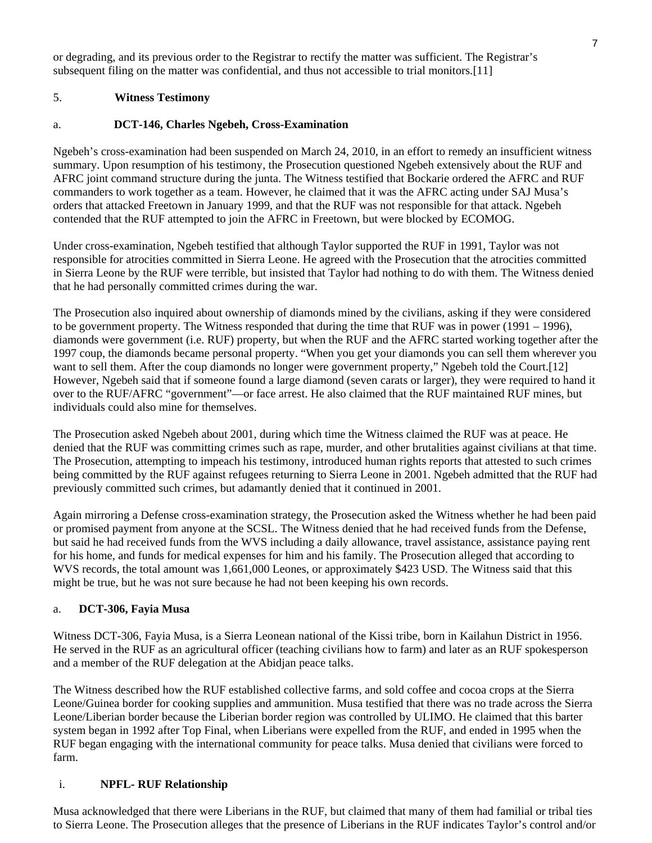or degrading, and its previous order to the Registrar to rectify the matter was sufficient. The Registrar's subsequent filing on the matter was confidential, and thus not accessible to trial monitors.[11]

#### 5. **Witness Testimony**

#### a. **DCT-146, Charles Ngebeh, Cross-Examination**

Ngebeh's cross-examination had been suspended on March 24, 2010, in an effort to remedy an insufficient witness summary. Upon resumption of his testimony, the Prosecution questioned Ngebeh extensively about the RUF and AFRC joint command structure during the junta. The Witness testified that Bockarie ordered the AFRC and RUF commanders to work together as a team. However, he claimed that it was the AFRC acting under SAJ Musa's orders that attacked Freetown in January 1999, and that the RUF was not responsible for that attack. Ngebeh contended that the RUF attempted to join the AFRC in Freetown, but were blocked by ECOMOG.

Under cross-examination, Ngebeh testified that although Taylor supported the RUF in 1991, Taylor was not responsible for atrocities committed in Sierra Leone. He agreed with the Prosecution that the atrocities committed in Sierra Leone by the RUF were terrible, but insisted that Taylor had nothing to do with them. The Witness denied that he had personally committed crimes during the war.

The Prosecution also inquired about ownership of diamonds mined by the civilians, asking if they were considered to be government property. The Witness responded that during the time that RUF was in power (1991 – 1996), diamonds were government (i.e. RUF) property, but when the RUF and the AFRC started working together after the 1997 coup, the diamonds became personal property. "When you get your diamonds you can sell them wherever you want to sell them. After the coup diamonds no longer were government property," Ngebeh told the Court.[12] However, Ngebeh said that if someone found a large diamond (seven carats or larger), they were required to hand it over to the RUF/AFRC "government"—or face arrest. He also claimed that the RUF maintained RUF mines, but individuals could also mine for themselves.

The Prosecution asked Ngebeh about 2001, during which time the Witness claimed the RUF was at peace. He denied that the RUF was committing crimes such as rape, murder, and other brutalities against civilians at that time. The Prosecution, attempting to impeach his testimony, introduced human rights reports that attested to such crimes being committed by the RUF against refugees returning to Sierra Leone in 2001. Ngebeh admitted that the RUF had previously committed such crimes, but adamantly denied that it continued in 2001.

Again mirroring a Defense cross-examination strategy, the Prosecution asked the Witness whether he had been paid or promised payment from anyone at the SCSL. The Witness denied that he had received funds from the Defense, but said he had received funds from the WVS including a daily allowance, travel assistance, assistance paying rent for his home, and funds for medical expenses for him and his family. The Prosecution alleged that according to WVS records, the total amount was 1,661,000 Leones, or approximately \$423 USD. The Witness said that this might be true, but he was not sure because he had not been keeping his own records.

#### a. **DCT-306, Fayia Musa**

Witness DCT-306, Fayia Musa, is a Sierra Leonean national of the Kissi tribe, born in Kailahun District in 1956. He served in the RUF as an agricultural officer (teaching civilians how to farm) and later as an RUF spokesperson and a member of the RUF delegation at the Abidjan peace talks.

The Witness described how the RUF established collective farms, and sold coffee and cocoa crops at the Sierra Leone/Guinea border for cooking supplies and ammunition. Musa testified that there was no trade across the Sierra Leone/Liberian border because the Liberian border region was controlled by ULIMO. He claimed that this barter system began in 1992 after Top Final, when Liberians were expelled from the RUF, and ended in 1995 when the RUF began engaging with the international community for peace talks. Musa denied that civilians were forced to farm.

#### i. **NPFL- RUF Relationship**

Musa acknowledged that there were Liberians in the RUF, but claimed that many of them had familial or tribal ties to Sierra Leone. The Prosecution alleges that the presence of Liberians in the RUF indicates Taylor's control and/or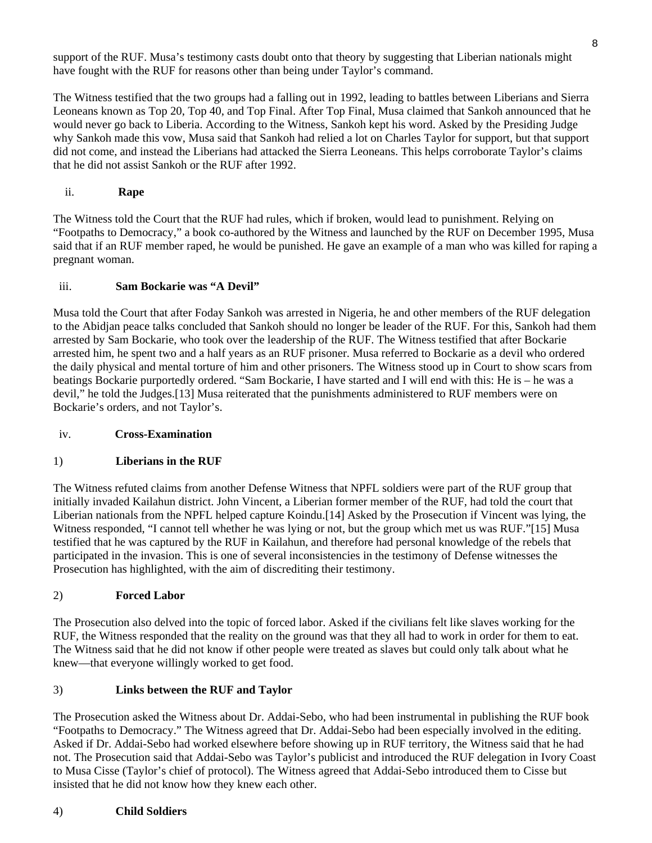support of the RUF. Musa's testimony casts doubt onto that theory by suggesting that Liberian nationals might have fought with the RUF for reasons other than being under Taylor's command.

The Witness testified that the two groups had a falling out in 1992, leading to battles between Liberians and Sierra Leoneans known as Top 20, Top 40, and Top Final. After Top Final, Musa claimed that Sankoh announced that he would never go back to Liberia. According to the Witness, Sankoh kept his word. Asked by the Presiding Judge why Sankoh made this vow, Musa said that Sankoh had relied a lot on Charles Taylor for support, but that support did not come, and instead the Liberians had attacked the Sierra Leoneans. This helps corroborate Taylor's claims that he did not assist Sankoh or the RUF after 1992.

### ii. **Rape**

The Witness told the Court that the RUF had rules, which if broken, would lead to punishment. Relying on "Footpaths to Democracy," a book co-authored by the Witness and launched by the RUF on December 1995, Musa said that if an RUF member raped, he would be punished. He gave an example of a man who was killed for raping a pregnant woman.

#### iii. **Sam Bockarie was "A Devil"**

Musa told the Court that after Foday Sankoh was arrested in Nigeria, he and other members of the RUF delegation to the Abidjan peace talks concluded that Sankoh should no longer be leader of the RUF. For this, Sankoh had them arrested by Sam Bockarie, who took over the leadership of the RUF. The Witness testified that after Bockarie arrested him, he spent two and a half years as an RUF prisoner. Musa referred to Bockarie as a devil who ordered the daily physical and mental torture of him and other prisoners. The Witness stood up in Court to show scars from beatings Bockarie purportedly ordered. "Sam Bockarie, I have started and I will end with this: He is – he was a devil," he told the Judges.[13] Musa reiterated that the punishments administered to RUF members were on Bockarie's orders, and not Taylor's.

#### iv. **Cross-Examination**

# 1) **Liberians in the RUF**

The Witness refuted claims from another Defense Witness that NPFL soldiers were part of the RUF group that initially invaded Kailahun district. John Vincent, a Liberian former member of the RUF, had told the court that Liberian nationals from the NPFL helped capture Koindu.[14] Asked by the Prosecution if Vincent was lying, the Witness responded, "I cannot tell whether he was lying or not, but the group which met us was RUF."[15] Musa testified that he was captured by the RUF in Kailahun, and therefore had personal knowledge of the rebels that participated in the invasion. This is one of several inconsistencies in the testimony of Defense witnesses the Prosecution has highlighted, with the aim of discrediting their testimony.

# 2) **Forced Labor**

The Prosecution also delved into the topic of forced labor. Asked if the civilians felt like slaves working for the RUF, the Witness responded that the reality on the ground was that they all had to work in order for them to eat. The Witness said that he did not know if other people were treated as slaves but could only talk about what he knew—that everyone willingly worked to get food.

# 3) **Links between the RUF and Taylor**

The Prosecution asked the Witness about Dr. Addai-Sebo, who had been instrumental in publishing the RUF book "Footpaths to Democracy." The Witness agreed that Dr. Addai-Sebo had been especially involved in the editing. Asked if Dr. Addai-Sebo had worked elsewhere before showing up in RUF territory, the Witness said that he had not. The Prosecution said that Addai-Sebo was Taylor's publicist and introduced the RUF delegation in Ivory Coast to Musa Cisse (Taylor's chief of protocol). The Witness agreed that Addai-Sebo introduced them to Cisse but insisted that he did not know how they knew each other.

# 4) **Child Soldiers**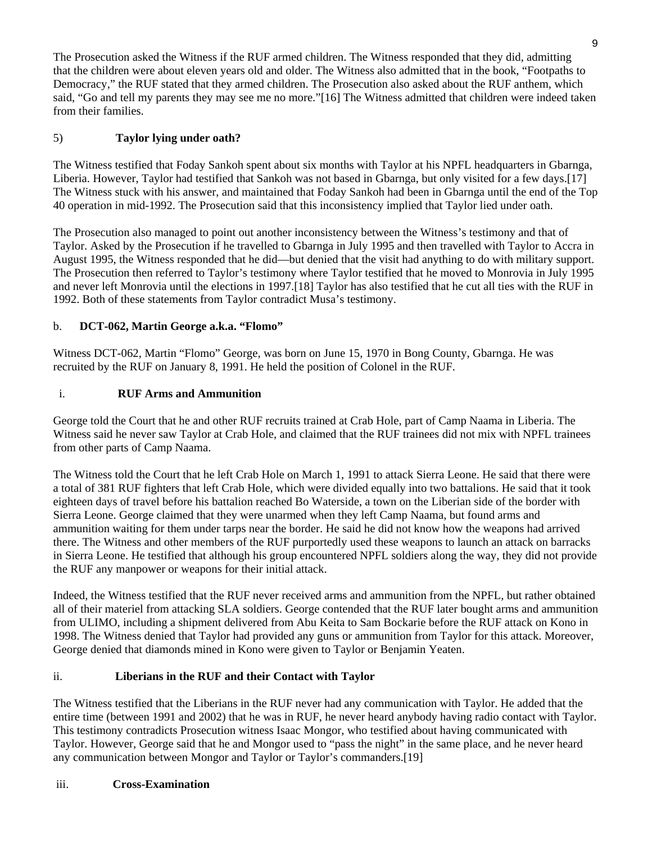The Prosecution asked the Witness if the RUF armed children. The Witness responded that they did, admitting that the children were about eleven years old and older. The Witness also admitted that in the book, "Footpaths to Democracy," the RUF stated that they armed children. The Prosecution also asked about the RUF anthem, which said, "Go and tell my parents they may see me no more."[16] The Witness admitted that children were indeed taken from their families.

# 5) **Taylor lying under oath?**

The Witness testified that Foday Sankoh spent about six months with Taylor at his NPFL headquarters in Gbarnga, Liberia. However, Taylor had testified that Sankoh was not based in Gbarnga, but only visited for a few days.[17] The Witness stuck with his answer, and maintained that Foday Sankoh had been in Gbarnga until the end of the Top 40 operation in mid-1992. The Prosecution said that this inconsistency implied that Taylor lied under oath.

The Prosecution also managed to point out another inconsistency between the Witness's testimony and that of Taylor. Asked by the Prosecution if he travelled to Gbarnga in July 1995 and then travelled with Taylor to Accra in August 1995, the Witness responded that he did—but denied that the visit had anything to do with military support. The Prosecution then referred to Taylor's testimony where Taylor testified that he moved to Monrovia in July 1995 and never left Monrovia until the elections in 1997.[18] Taylor has also testified that he cut all ties with the RUF in 1992. Both of these statements from Taylor contradict Musa's testimony.

# b. **DCT-062, Martin George a.k.a. "Flomo"**

Witness DCT-062, Martin "Flomo" George, was born on June 15, 1970 in Bong County, Gbarnga. He was recruited by the RUF on January 8, 1991. He held the position of Colonel in the RUF.

# i. **RUF Arms and Ammunition**

George told the Court that he and other RUF recruits trained at Crab Hole, part of Camp Naama in Liberia. The Witness said he never saw Taylor at Crab Hole, and claimed that the RUF trainees did not mix with NPFL trainees from other parts of Camp Naama.

The Witness told the Court that he left Crab Hole on March 1, 1991 to attack Sierra Leone. He said that there were a total of 381 RUF fighters that left Crab Hole, which were divided equally into two battalions. He said that it took eighteen days of travel before his battalion reached Bo Waterside, a town on the Liberian side of the border with Sierra Leone. George claimed that they were unarmed when they left Camp Naama, but found arms and ammunition waiting for them under tarps near the border. He said he did not know how the weapons had arrived there. The Witness and other members of the RUF purportedly used these weapons to launch an attack on barracks in Sierra Leone. He testified that although his group encountered NPFL soldiers along the way, they did not provide the RUF any manpower or weapons for their initial attack.

Indeed, the Witness testified that the RUF never received arms and ammunition from the NPFL, but rather obtained all of their materiel from attacking SLA soldiers. George contended that the RUF later bought arms and ammunition from ULIMO, including a shipment delivered from Abu Keita to Sam Bockarie before the RUF attack on Kono in 1998. The Witness denied that Taylor had provided any guns or ammunition from Taylor for this attack. Moreover, George denied that diamonds mined in Kono were given to Taylor or Benjamin Yeaten.

# ii. **Liberians in the RUF and their Contact with Taylor**

The Witness testified that the Liberians in the RUF never had any communication with Taylor. He added that the entire time (between 1991 and 2002) that he was in RUF, he never heard anybody having radio contact with Taylor. This testimony contradicts Prosecution witness Isaac Mongor, who testified about having communicated with Taylor. However, George said that he and Mongor used to "pass the night" in the same place, and he never heard any communication between Mongor and Taylor or Taylor's commanders.[19]

# iii. **Cross-Examination**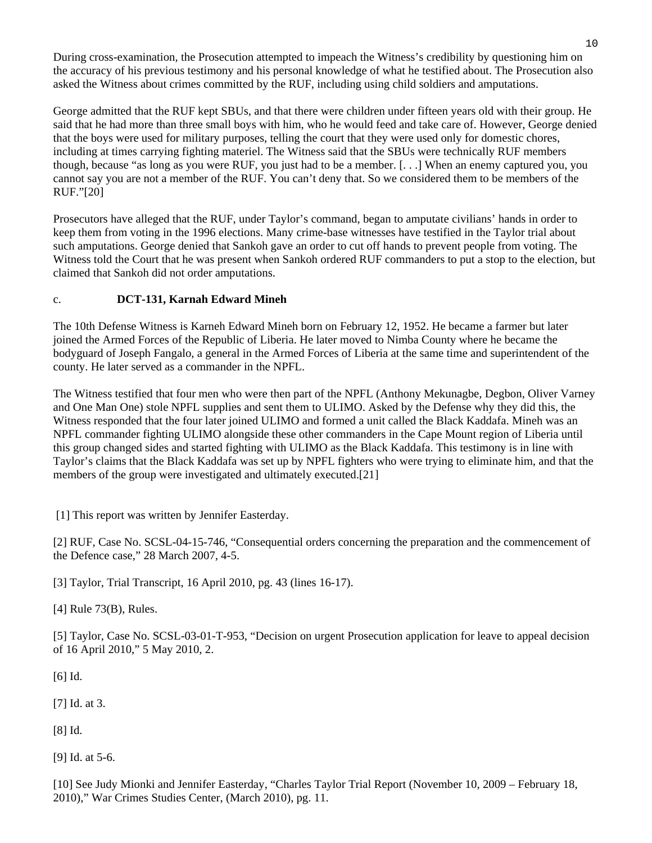During cross-examination, the Prosecution attempted to impeach the Witness's credibility by questioning him on the accuracy of his previous testimony and his personal knowledge of what he testified about. The Prosecution also asked the Witness about crimes committed by the RUF, including using child soldiers and amputations.

George admitted that the RUF kept SBUs, and that there were children under fifteen years old with their group. He said that he had more than three small boys with him, who he would feed and take care of. However, George denied that the boys were used for military purposes, telling the court that they were used only for domestic chores, including at times carrying fighting materiel. The Witness said that the SBUs were technically RUF members though, because "as long as you were RUF, you just had to be a member. [. . .] When an enemy captured you, you cannot say you are not a member of the RUF. You can't deny that. So we considered them to be members of the RUF."[20]

Prosecutors have alleged that the RUF, under Taylor's command, began to amputate civilians' hands in order to keep them from voting in the 1996 elections. Many crime-base witnesses have testified in the Taylor trial about such amputations. George denied that Sankoh gave an order to cut off hands to prevent people from voting. The Witness told the Court that he was present when Sankoh ordered RUF commanders to put a stop to the election, but claimed that Sankoh did not order amputations.

# c. **DCT-131, Karnah Edward Mineh**

The 10th Defense Witness is Karneh Edward Mineh born on February 12, 1952. He became a farmer but later joined the Armed Forces of the Republic of Liberia. He later moved to Nimba County where he became the bodyguard of Joseph Fangalo, a general in the Armed Forces of Liberia at the same time and superintendent of the county. He later served as a commander in the NPFL.

The Witness testified that four men who were then part of the NPFL (Anthony Mekunagbe, Degbon, Oliver Varney and One Man One) stole NPFL supplies and sent them to ULIMO. Asked by the Defense why they did this, the Witness responded that the four later joined ULIMO and formed a unit called the Black Kaddafa. Mineh was an NPFL commander fighting ULIMO alongside these other commanders in the Cape Mount region of Liberia until this group changed sides and started fighting with ULIMO as the Black Kaddafa. This testimony is in line with Taylor's claims that the Black Kaddafa was set up by NPFL fighters who were trying to eliminate him, and that the members of the group were investigated and ultimately executed.[21]

[1] This report was written by Jennifer Easterday.

[2] RUF, Case No. SCSL-04-15-746, "Consequential orders concerning the preparation and the commencement of the Defence case," 28 March 2007, 4-5.

[3] Taylor, Trial Transcript, 16 April 2010, pg. 43 (lines 16-17).

[4] Rule 73(B), Rules.

[5] Taylor, Case No. SCSL-03-01-T-953, "Decision on urgent Prosecution application for leave to appeal decision of 16 April 2010," 5 May 2010, 2.

[6] Id.

[7] Id. at 3.

[8] Id.

[9] Id. at 5-6.

[10] See Judy Mionki and Jennifer Easterday, "Charles Taylor Trial Report (November 10, 2009 – February 18, 2010)," War Crimes Studies Center, (March 2010), pg. 11.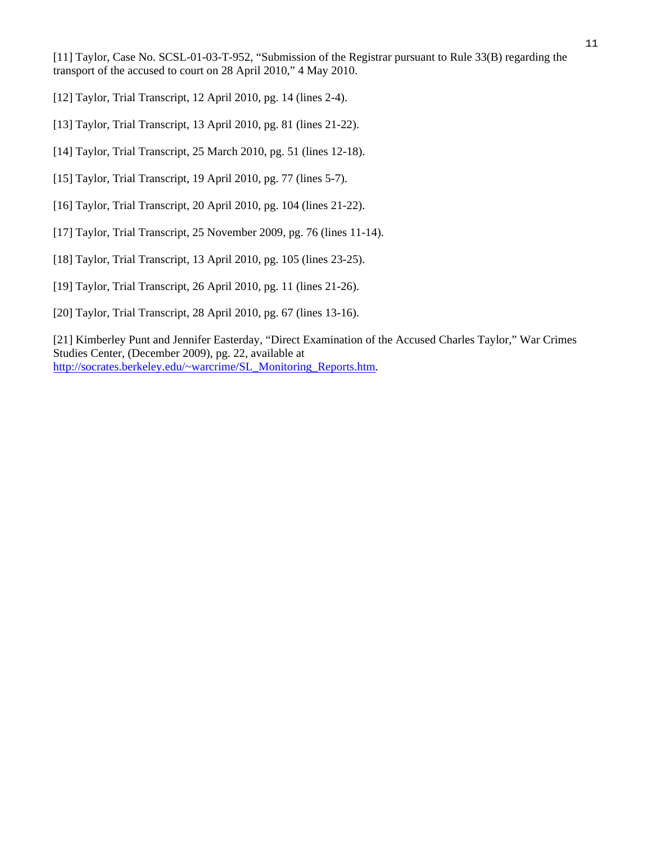[11] Taylor, Case No. SCSL-01-03-T-952, "Submission of the Registrar pursuant to Rule 33(B) regarding the transport of the accused to court on 28 April 2010," 4 May 2010.

- [12] Taylor, Trial Transcript, 12 April 2010, pg. 14 (lines 2-4).
- [13] Taylor, Trial Transcript, 13 April 2010, pg. 81 (lines 21-22).
- [14] Taylor, Trial Transcript, 25 March 2010, pg. 51 (lines 12-18).
- [15] Taylor, Trial Transcript, 19 April 2010, pg. 77 (lines 5-7).
- [16] Taylor, Trial Transcript, 20 April 2010, pg. 104 (lines 21-22).
- [17] Taylor, Trial Transcript, 25 November 2009, pg. 76 (lines 11-14).
- [18] Taylor, Trial Transcript, 13 April 2010, pg. 105 (lines 23-25).
- [19] Taylor, Trial Transcript, 26 April 2010, pg. 11 (lines 21-26).
- [20] Taylor, Trial Transcript, 28 April 2010, pg. 67 (lines 13-16).

[21] Kimberley Punt and Jennifer Easterday, "Direct Examination of the Accused Charles Taylor," War Crimes Studies Center, (December 2009), pg. 22, available at [http://socrates.berkeley.edu/~warcrime/SL\\_Monitoring\\_Reports.htm.](http://socrates.berkeley.edu/%7Ewarcrime/SL_Monitoring_Reports.htm)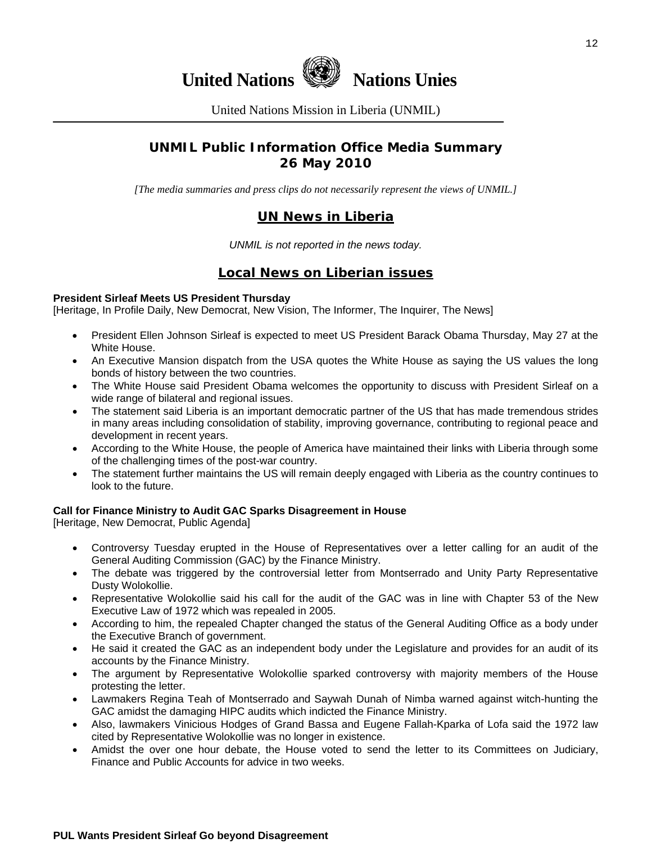



United Nations Mission in Liberia (UNMIL)

# **UNMIL Public Information Office Media Summary 26 May 2010**

*[The media summaries and press clips do not necessarily represent the views of UNMIL.]* 

# **UN News in Liberia**

*UNMIL is not reported in the news today.* 

# **Local News on Liberian issues**

#### **President Sirleaf Meets US President Thursday**

[Heritage, In Profile Daily, New Democrat, New Vision, The Informer, The Inquirer, The News]

- President Ellen Johnson Sirleaf is expected to meet US President Barack Obama Thursday, May 27 at the White House.
- An Executive Mansion dispatch from the USA quotes the White House as saying the US values the long bonds of history between the two countries.
- The White House said President Obama welcomes the opportunity to discuss with President Sirleaf on a wide range of bilateral and regional issues.
- The statement said Liberia is an important democratic partner of the US that has made tremendous strides in many areas including consolidation of stability, improving governance, contributing to regional peace and development in recent years.
- According to the White House, the people of America have maintained their links with Liberia through some of the challenging times of the post-war country.
- The statement further maintains the US will remain deeply engaged with Liberia as the country continues to look to the future.

#### **Call for Finance Ministry to Audit GAC Sparks Disagreement in House**

[Heritage, New Democrat, Public Agenda]

- Controversy Tuesday erupted in the House of Representatives over a letter calling for an audit of the General Auditing Commission (GAC) by the Finance Ministry.
- The debate was triggered by the controversial letter from Montserrado and Unity Party Representative Dusty Wolokollie.
- Representative Wolokollie said his call for the audit of the GAC was in line with Chapter 53 of the New Executive Law of 1972 which was repealed in 2005.
- According to him, the repealed Chapter changed the status of the General Auditing Office as a body under the Executive Branch of government.
- He said it created the GAC as an independent body under the Legislature and provides for an audit of its accounts by the Finance Ministry.
- The argument by Representative Wolokollie sparked controversy with majority members of the House protesting the letter.
- Lawmakers Regina Teah of Montserrado and Saywah Dunah of Nimba warned against witch-hunting the GAC amidst the damaging HIPC audits which indicted the Finance Ministry.
- Also, lawmakers Vinicious Hodges of Grand Bassa and Eugene Fallah-Kparka of Lofa said the 1972 law cited by Representative Wolokollie was no longer in existence.
- Amidst the over one hour debate, the House voted to send the letter to its Committees on Judiciary, Finance and Public Accounts for advice in two weeks.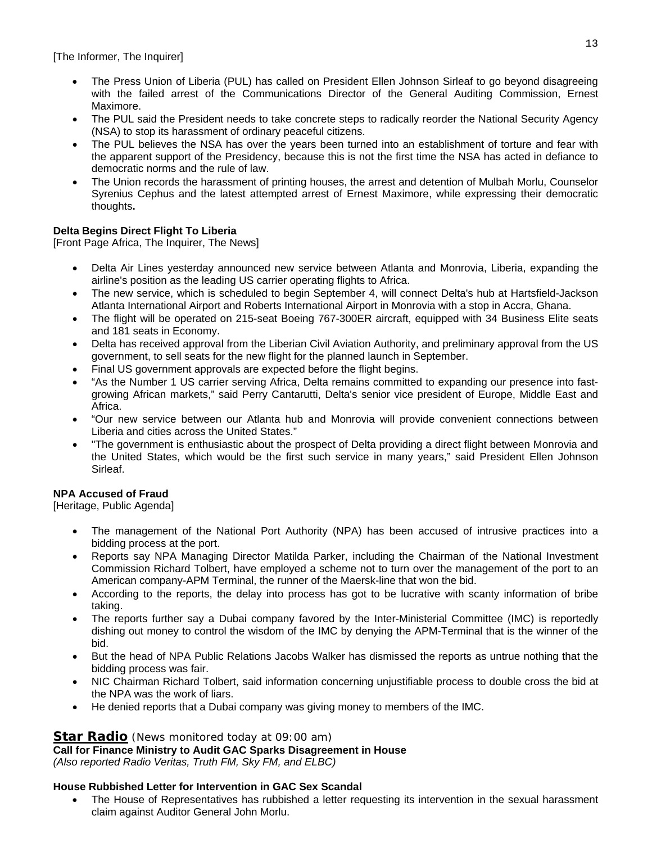[The Informer, The Inquirer]

- The Press Union of Liberia (PUL) has called on President Ellen Johnson Sirleaf to go beyond disagreeing with the failed arrest of the Communications Director of the General Auditing Commission, Ernest Maximore.
- The PUL said the President needs to take concrete steps to radically reorder the National Security Agency (NSA) to stop its harassment of ordinary peaceful citizens.
- The PUL believes the NSA has over the years been turned into an establishment of torture and fear with the apparent support of the Presidency, because this is not the first time the NSA has acted in defiance to democratic norms and the rule of law.
- The Union records the harassment of printing houses, the arrest and detention of Mulbah Morlu, Counselor Syrenius Cephus and the latest attempted arrest of Ernest Maximore, while expressing their democratic thoughts**.**

# **Delta Begins Direct Flight To Liberia**

[Front Page Africa, The Inquirer, The News]

- Delta Air Lines yesterday announced new service between Atlanta and Monrovia, Liberia, expanding the airline's position as the leading US carrier operating flights to Africa.
- The new service, which is scheduled to begin September 4, will connect Delta's hub at Hartsfield-Jackson Atlanta International Airport and Roberts International Airport in Monrovia with a stop in Accra, Ghana.
- The flight will be operated on 215-seat Boeing 767-300ER aircraft, equipped with 34 Business Elite seats and 181 seats in Economy.
- Delta has received approval from the Liberian Civil Aviation Authority, and preliminary approval from the US government, to sell seats for the new flight for the planned launch in September.
- Final US government approvals are expected before the flight begins.
- "As the Number 1 US carrier serving Africa, Delta remains committed to expanding our presence into fastgrowing African markets," said Perry Cantarutti, Delta's senior vice president of Europe, Middle East and Africa.
- "Our new service between our Atlanta hub and Monrovia will provide convenient connections between Liberia and cities across the United States."
- "The government is enthusiastic about the prospect of Delta providing a direct flight between Monrovia and the United States, which would be the first such service in many years," said President Ellen Johnson Sirleaf.

# **NPA Accused of Fraud**

[Heritage, Public Agenda]

- The management of the National Port Authority (NPA) has been accused of intrusive practices into a bidding process at the port.
- Reports say NPA Managing Director Matilda Parker, including the Chairman of the National Investment Commission Richard Tolbert, have employed a scheme not to turn over the management of the port to an American company-APM Terminal, the runner of the Maersk-line that won the bid.
- According to the reports, the delay into process has got to be lucrative with scanty information of bribe taking.
- The reports further say a Dubai company favored by the Inter-Ministerial Committee (IMC) is reportedly dishing out money to control the wisdom of the IMC by denying the APM-Terminal that is the winner of the bid.
- But the head of NPA Public Relations Jacobs Walker has dismissed the reports as untrue nothing that the bidding process was fair.
- NIC Chairman Richard Tolbert, said information concerning unjustifiable process to double cross the bid at the NPA was the work of liars.
- He denied reports that a Dubai company was giving money to members of the IMC.

# **Star Radio** *(News monitored today at 09:00 am)*

**Call for Finance Ministry to Audit GAC Sparks Disagreement in House** 

# *(Also reported Radio Veritas, Truth FM, Sky FM, and ELBC)*

# **House Rubbished Letter for Intervention in GAC Sex Scandal**

• The House of Representatives has rubbished a letter requesting its intervention in the sexual harassment claim against Auditor General John Morlu.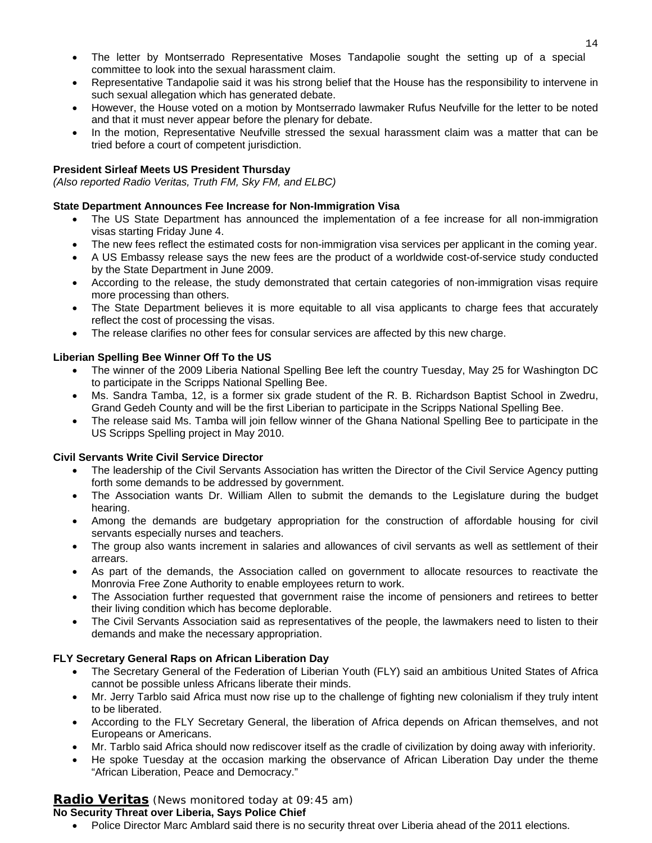- The letter by Montserrado Representative Moses Tandapolie sought the setting up of a special committee to look into the sexual harassment claim.
- Representative Tandapolie said it was his strong belief that the House has the responsibility to intervene in such sexual allegation which has generated debate.
- However, the House voted on a motion by Montserrado lawmaker Rufus Neufville for the letter to be noted and that it must never appear before the plenary for debate.
- In the motion, Representative Neufville stressed the sexual harassment claim was a matter that can be tried before a court of competent jurisdiction.

#### **President Sirleaf Meets US President Thursday**

*(Also reported Radio Veritas, Truth FM, Sky FM, and ELBC)*

#### **State Department Announces Fee Increase for Non-Immigration Visa**

- The US State Department has announced the implementation of a fee increase for all non-immigration visas starting Friday June 4.
- The new fees reflect the estimated costs for non-immigration visa services per applicant in the coming year.
- A US Embassy release says the new fees are the product of a worldwide cost-of-service study conducted by the State Department in June 2009.
- According to the release, the study demonstrated that certain categories of non-immigration visas require more processing than others.
- The State Department believes it is more equitable to all visa applicants to charge fees that accurately reflect the cost of processing the visas.
- The release clarifies no other fees for consular services are affected by this new charge.

# **Liberian Spelling Bee Winner Off To the US**

- The winner of the 2009 Liberia National Spelling Bee left the country Tuesday, May 25 for Washington DC to participate in the Scripps National Spelling Bee.
- Ms. Sandra Tamba, 12, is a former six grade student of the R. B. Richardson Baptist School in Zwedru, Grand Gedeh County and will be the first Liberian to participate in the Scripps National Spelling Bee.
- The release said Ms. Tamba will join fellow winner of the Ghana National Spelling Bee to participate in the US Scripps Spelling project in May 2010.

# **Civil Servants Write Civil Service Director**

- The leadership of the Civil Servants Association has written the Director of the Civil Service Agency putting forth some demands to be addressed by government.
- The Association wants Dr. William Allen to submit the demands to the Legislature during the budget hearing.
- Among the demands are budgetary appropriation for the construction of affordable housing for civil servants especially nurses and teachers.
- The group also wants increment in salaries and allowances of civil servants as well as settlement of their arrears.
- As part of the demands, the Association called on government to allocate resources to reactivate the Monrovia Free Zone Authority to enable employees return to work.
- The Association further requested that government raise the income of pensioners and retirees to better their living condition which has become deplorable.
- The Civil Servants Association said as representatives of the people, the lawmakers need to listen to their demands and make the necessary appropriation.

#### **FLY Secretary General Raps on African Liberation Day**

- The Secretary General of the Federation of Liberian Youth (FLY) said an ambitious United States of Africa cannot be possible unless Africans liberate their minds.
- Mr. Jerry Tarblo said Africa must now rise up to the challenge of fighting new colonialism if they truly intent to be liberated.
- According to the FLY Secretary General, the liberation of Africa depends on African themselves, and not Europeans or Americans.
- Mr. Tarblo said Africa should now rediscover itself as the cradle of civilization by doing away with inferiority.
- He spoke Tuesday at the occasion marking the observance of African Liberation Day under the theme "African Liberation, Peace and Democracy."

# **Radio Veritas** *(News monitored today at 09:45 am)*

# **No Security Threat over Liberia, Says Police Chief**

• Police Director Marc Amblard said there is no security threat over Liberia ahead of the 2011 elections.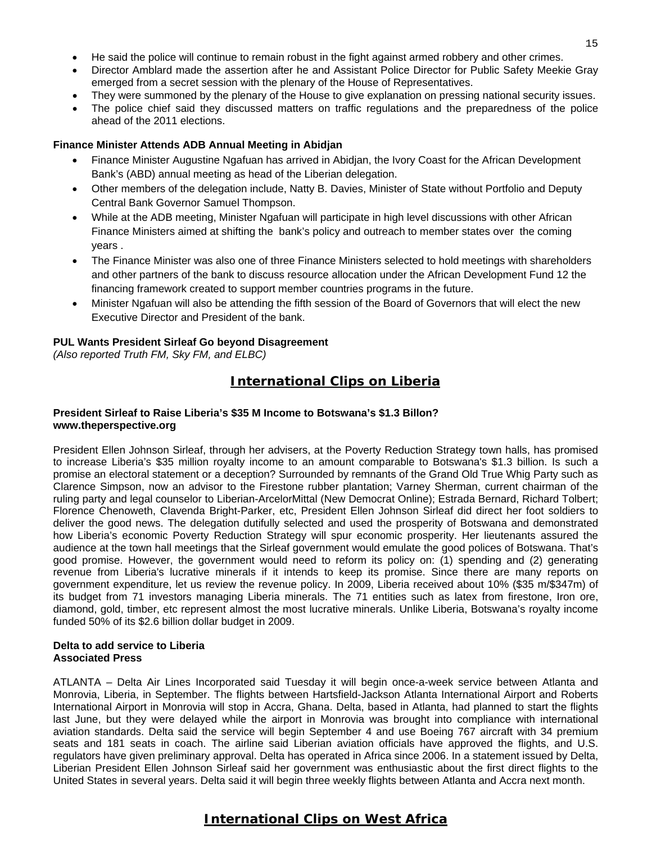- He said the police will continue to remain robust in the fight against armed robbery and other crimes.
- Director Amblard made the assertion after he and Assistant Police Director for Public Safety Meekie Gray emerged from a secret session with the plenary of the House of Representatives.
- They were summoned by the plenary of the House to give explanation on pressing national security issues.
- The police chief said they discussed matters on traffic regulations and the preparedness of the police ahead of the 2011 elections.

#### **Finance Minister Attends ADB Annual Meeting in Abidjan**

- Finance Minister Augustine Ngafuan has arrived in Abidjan, the Ivory Coast for the African Development Bank's (ABD) annual meeting as head of the Liberian delegation.
- Other members of the delegation include, Natty B. Davies, Minister of State without Portfolio and Deputy Central Bank Governor Samuel Thompson.
- While at the ADB meeting, Minister Ngafuan will participate in high level discussions with other African Finance Ministers aimed at shifting the bank's policy and outreach to member states over the coming years .
- The Finance Minister was also one of three Finance Ministers selected to hold meetings with shareholders and other partners of the bank to discuss resource allocation under the African Development Fund 12 the financing framework created to support member countries programs in the future.
- Minister Ngafuan will also be attending the fifth session of the Board of Governors that will elect the new Executive Director and President of the bank.

#### **PUL Wants President Sirleaf Go beyond Disagreement**

*(Also reported Truth FM, Sky FM, and ELBC)*

# **International Clips on Liberia**

#### **President Sirleaf to Raise Liberia's \$35 M Income to Botswana's \$1.3 Billon? www.theperspective.org**

President Ellen Johnson Sirleaf, through her advisers, at the Poverty Reduction Strategy town halls, has promised to increase Liberia's \$35 million royalty income to an amount comparable to Botswana's \$1.3 billion. Is such a promise an electoral statement or a deception? Surrounded by remnants of the Grand Old True Whig Party such as Clarence Simpson, now an advisor to the Firestone rubber plantation; Varney Sherman, current chairman of the ruling party and legal counselor to Liberian-ArcelorMittal (New Democrat Online); Estrada Bernard, Richard Tolbert; Florence Chenoweth, Clavenda Bright-Parker, etc, President Ellen Johnson Sirleaf did direct her foot soldiers to deliver the good news. The delegation dutifully selected and used the prosperity of Botswana and demonstrated how Liberia's economic Poverty Reduction Strategy will spur economic prosperity. Her lieutenants assured the audience at the town hall meetings that the Sirleaf government would emulate the good polices of Botswana. That's good promise. However, the government would need to reform its policy on: (1) spending and (2) generating revenue from Liberia's lucrative minerals if it intends to keep its promise. Since there are many reports on government expenditure, let us review the revenue policy. In 2009, Liberia received about 10% (\$35 m/\$347m) of its budget from 71 investors managing Liberia minerals. The 71 entities such as latex from firestone, Iron ore, diamond, gold, timber, etc represent almost the most lucrative minerals. Unlike Liberia, Botswana's royalty income funded 50% of its \$2.6 billion dollar budget in 2009.

#### **Delta to add service to Liberia Associated Press**

ATLANTA – Delta Air Lines Incorporated said Tuesday it will begin once-a-week service between Atlanta and Monrovia, Liberia, in September. The flights between Hartsfield-Jackson Atlanta International Airport and Roberts International Airport in Monrovia will stop in Accra, Ghana. Delta, based in Atlanta, had planned to start the flights last June, but they were delayed while the airport in Monrovia was brought into compliance with international aviation standards. Delta said the service will begin September 4 and use Boeing 767 aircraft with 34 premium seats and 181 seats in coach. The airline said Liberian aviation officials have approved the flights, and U.S. regulators have given preliminary approval. Delta has operated in Africa since 2006. In a statement issued by Delta, Liberian President Ellen Johnson Sirleaf said her government was enthusiastic about the first direct flights to the United States in several years. Delta said it will begin three weekly flights between Atlanta and Accra next month.

# **International Clips on West Africa**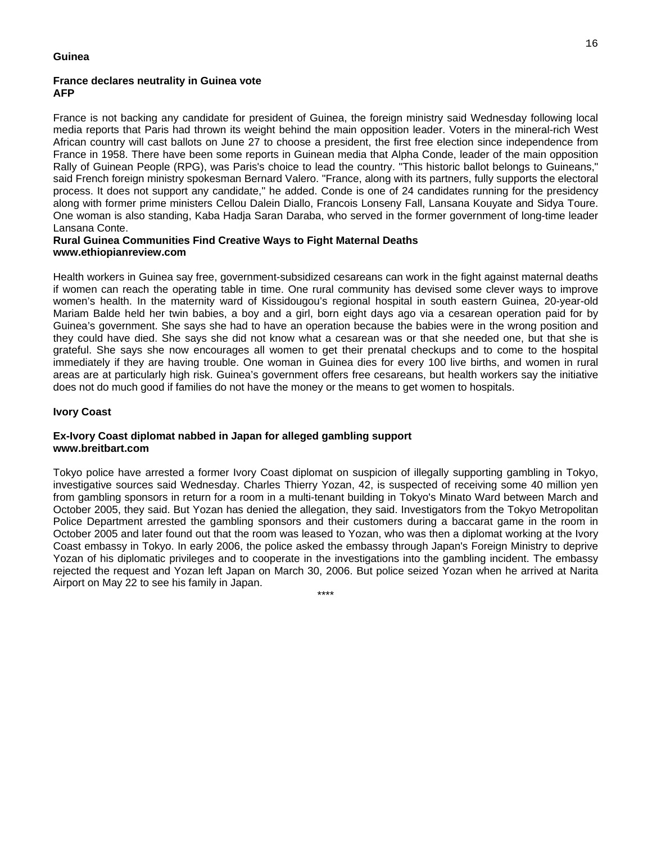#### **Guinea**

#### **France declares neutrality in Guinea vote AFP**

France is not backing any candidate for president of Guinea, the foreign ministry said Wednesday following local media reports that Paris had thrown its weight behind the main opposition leader. Voters in the mineral-rich West African country will cast ballots on June 27 to choose a president, the first free election since independence from France in 1958. There have been some reports in Guinean media that Alpha Conde, leader of the main opposition Rally of Guinean People (RPG), was Paris's choice to lead the country. "This historic ballot belongs to Guineans," said French foreign ministry spokesman Bernard Valero. "France, along with its partners, fully supports the electoral process. It does not support any candidate," he added. Conde is one of 24 candidates running for the presidency along with former prime ministers Cellou Dalein Diallo, Francois Lonseny Fall, Lansana Kouyate and Sidya Toure. One woman is also standing, Kaba Hadja Saran Daraba, who served in the former government of long-time leader Lansana Conte.

#### **Rural Guinea Communities Find Creative Ways to Fight Maternal Deaths www.ethiopianreview.com**

Health workers in Guinea say free, government-subsidized cesareans can work in the fight against maternal deaths if women can reach the operating table in time. One rural community has devised some clever ways to improve women's health. In the maternity ward of Kissidougou's regional hospital in south eastern Guinea, 20-year-old Mariam Balde held her twin babies, a boy and a girl, born eight days ago via a cesarean operation paid for by Guinea's government. She says she had to have an operation because the babies were in the wrong position and they could have died. She says she did not know what a cesarean was or that she needed one, but that she is grateful. She says she now encourages all women to get their prenatal checkups and to come to the hospital immediately if they are having trouble. One woman in Guinea dies for every 100 live births, and women in rural areas are at particularly high risk. Guinea's government offers free cesareans, but health workers say the initiative does not do much good if families do not have the money or the means to get women to hospitals.

#### **Ivory Coast**

#### **Ex-Ivory Coast diplomat nabbed in Japan for alleged gambling support www.breitbart.com**

Tokyo police have arrested a former Ivory Coast diplomat on suspicion of illegally supporting gambling in Tokyo, investigative sources said Wednesday. Charles Thierry Yozan, 42, is suspected of receiving some 40 million yen from gambling sponsors in return for a room in a multi-tenant building in Tokyo's Minato Ward between March and October 2005, they said. But Yozan has denied the allegation, they said. Investigators from the Tokyo Metropolitan Police Department arrested the gambling sponsors and their customers during a baccarat game in the room in October 2005 and later found out that the room was leased to Yozan, who was then a diplomat working at the Ivory Coast embassy in Tokyo. In early 2006, the police asked the embassy through Japan's Foreign Ministry to deprive Yozan of his diplomatic privileges and to cooperate in the investigations into the gambling incident. The embassy rejected the request and Yozan left Japan on March 30, 2006. But police seized Yozan when he arrived at Narita Airport on May 22 to see his family in Japan.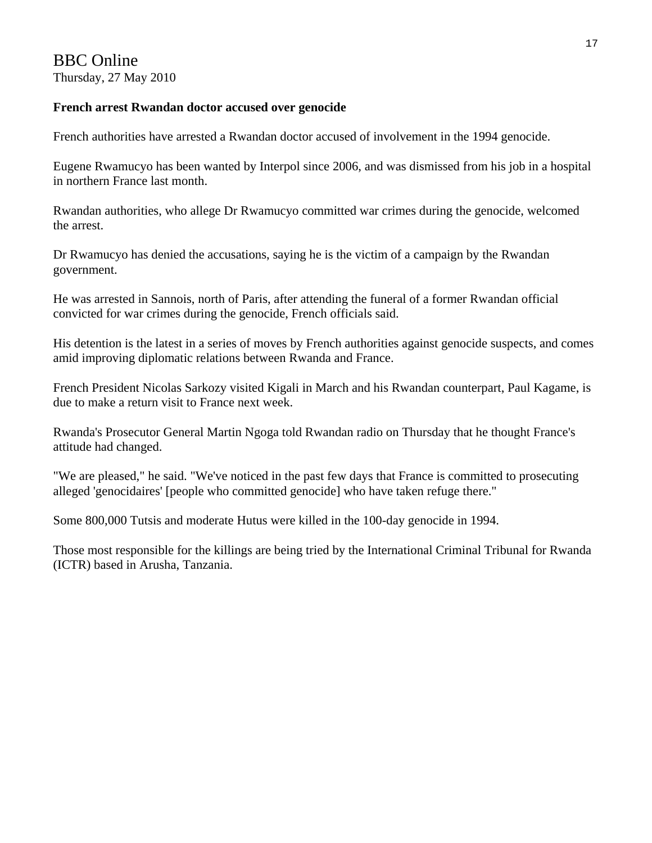# **French arrest Rwandan doctor accused over genocide**

French authorities have arrested a Rwandan doctor accused of involvement in the 1994 genocide.

Eugene Rwamucyo has been wanted by Interpol since 2006, and was dismissed from his job in a hospital in northern France last month.

Rwandan authorities, who allege Dr Rwamucyo committed war crimes during the genocide, welcomed the arrest.

Dr Rwamucyo has denied the accusations, saying he is the victim of a campaign by the Rwandan government.

He was arrested in Sannois, north of Paris, after attending the funeral of a former Rwandan official convicted for war crimes during the genocide, French officials said.

His detention is the latest in a series of moves by French authorities against genocide suspects, and comes amid improving diplomatic relations between Rwanda and France.

French President Nicolas Sarkozy visited Kigali in March and his Rwandan counterpart, Paul Kagame, is due to make a return visit to France next week.

Rwanda's Prosecutor General Martin Ngoga told Rwandan radio on Thursday that he thought France's attitude had changed.

"We are pleased," he said. "We've noticed in the past few days that France is committed to prosecuting alleged 'genocidaires' [people who committed genocide] who have taken refuge there."

Some 800,000 Tutsis and moderate Hutus were killed in the 100-day genocide in 1994.

Those most responsible for the killings are being tried by the International Criminal Tribunal for Rwanda (ICTR) based in Arusha, Tanzania.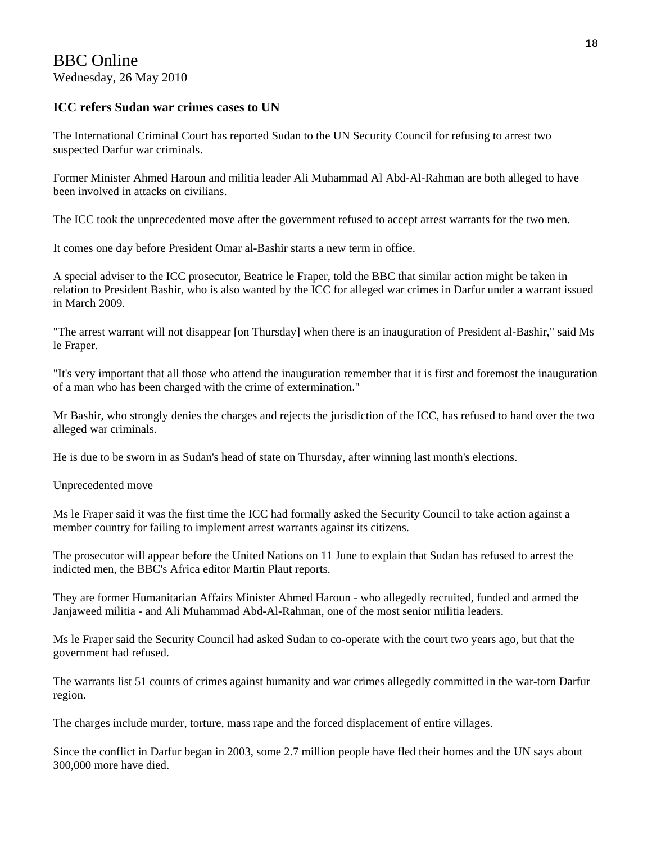# **ICC refers Sudan war crimes cases to UN**

The International Criminal Court has reported Sudan to the UN Security Council for refusing to arrest two suspected Darfur war criminals.

Former Minister Ahmed Haroun and militia leader Ali Muhammad Al Abd-Al-Rahman are both alleged to have been involved in attacks on civilians.

The ICC took the unprecedented move after the government refused to accept arrest warrants for the two men.

It comes one day before President Omar al-Bashir starts a new term in office.

A special adviser to the ICC prosecutor, Beatrice le Fraper, told the BBC that similar action might be taken in relation to President Bashir, who is also wanted by the ICC for alleged war crimes in Darfur under a warrant issued in March 2009.

"The arrest warrant will not disappear [on Thursday] when there is an inauguration of President al-Bashir," said Ms le Fraper.

"It's very important that all those who attend the inauguration remember that it is first and foremost the inauguration of a man who has been charged with the crime of extermination."

Mr Bashir, who strongly denies the charges and rejects the jurisdiction of the ICC, has refused to hand over the two alleged war criminals.

He is due to be sworn in as Sudan's head of state on Thursday, after winning last month's elections.

Unprecedented move

Ms le Fraper said it was the first time the ICC had formally asked the Security Council to take action against a member country for failing to implement arrest warrants against its citizens.

The prosecutor will appear before the United Nations on 11 June to explain that Sudan has refused to arrest the indicted men, the BBC's Africa editor Martin Plaut reports.

They are former Humanitarian Affairs Minister Ahmed Haroun - who allegedly recruited, funded and armed the Janjaweed militia - and Ali Muhammad Abd-Al-Rahman, one of the most senior militia leaders.

Ms le Fraper said the Security Council had asked Sudan to co-operate with the court two years ago, but that the government had refused.

The warrants list 51 counts of crimes against humanity and war crimes allegedly committed in the war-torn Darfur region.

The charges include murder, torture, mass rape and the forced displacement of entire villages.

Since the conflict in Darfur began in 2003, some 2.7 million people have fled their homes and the UN says about 300,000 more have died.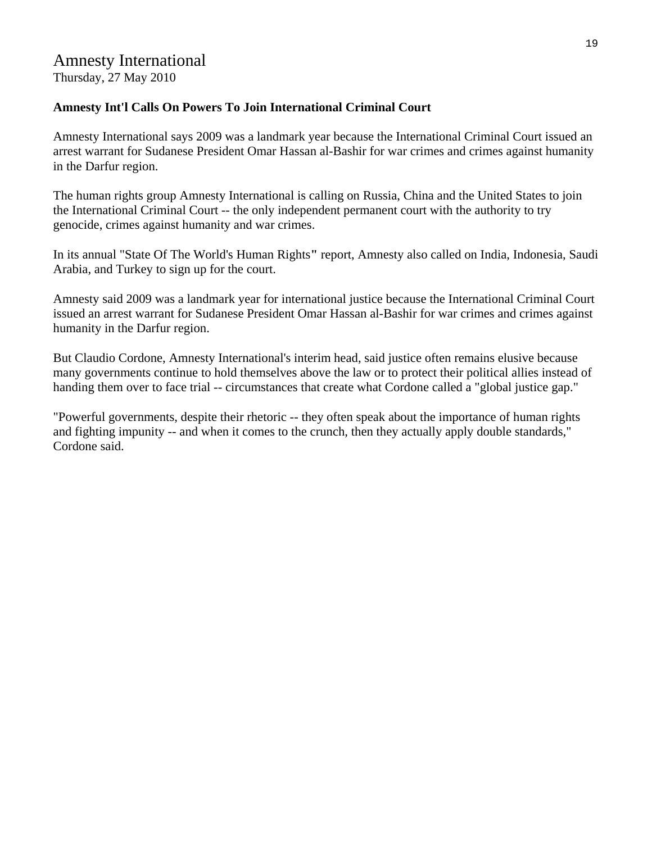# Amnesty International

Thursday, 27 May 2010

# **Amnesty Int'l Calls On Powers To Join International Criminal Court**

Amnesty International says 2009 was a landmark year because the International Criminal Court issued an arrest warrant for Sudanese President Omar Hassan al-Bashir for war crimes and crimes against humanity in the Darfur region.

The human rights group Amnesty International is calling on Russia, China and the United States to join the International Criminal Court -- the only independent permanent court with the authority to try genocide, crimes against humanity and war crimes.

In its annual "State Of The World's Human Rights**"** [report](http://www.rferl.org/content/Amnesty_International_Says_Rights_Abuses_Continue_To_Plague_World/2054261.html), Amnesty also called on India, Indonesia, Saudi Arabia, and Turkey to sign up for the court.

Amnesty said 2009 was a landmark year for international justice because the International Criminal Court issued an arrest warrant for Sudanese President Omar Hassan al-Bashir for war crimes and crimes against humanity in the Darfur region.

But Claudio Cordone, Amnesty International's interim head, said justice often remains elusive because many governments continue to hold themselves above the law or to protect their political allies instead of handing them over to face trial -- circumstances that create what Cordone called a "global justice gap."

"Powerful governments, despite their rhetoric -- they often speak about the importance of human rights and fighting impunity -- and when it comes to the crunch, then they actually apply double standards," Cordone said.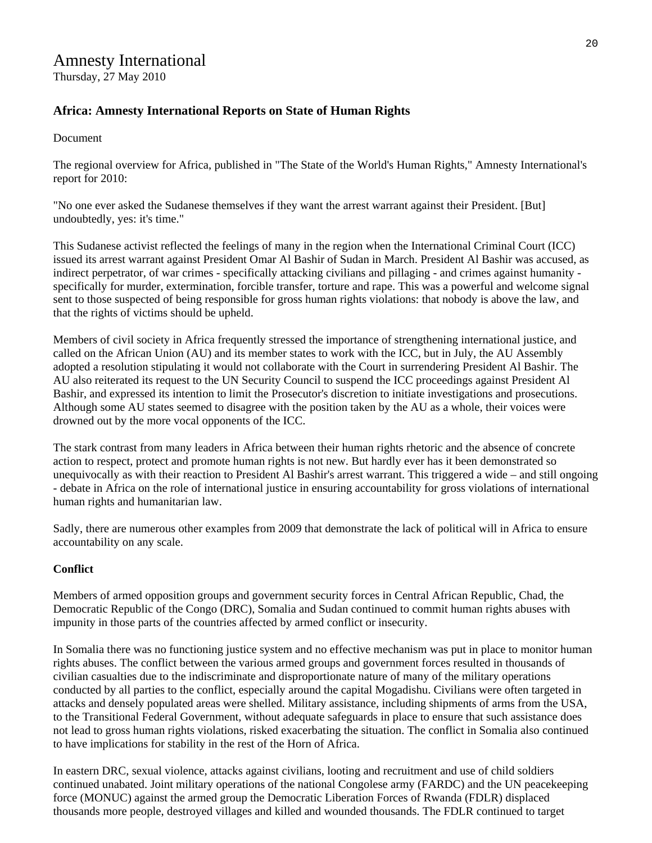# Amnesty International

Thursday, 27 May 2010

# **Africa: Amnesty International Reports on State of Human Rights**

Document

The regional overview for Africa, published in "The State of the World's Human Rights," Amnesty International's report for 2010:

"No one ever asked the Sudanese themselves if they want the arrest warrant against their President. [But] undoubtedly, yes: it's time."

This Sudanese activist reflected the feelings of many in the region when the International Criminal Court (ICC) issued its arrest warrant against President Omar Al Bashir of Sudan in March. President Al Bashir was accused, as indirect perpetrator, of war crimes - specifically attacking civilians and pillaging - and crimes against humanity specifically for murder, extermination, forcible transfer, torture and rape. This was a powerful and welcome signal sent to those suspected of being responsible for gross human rights violations: that nobody is above the law, and that the rights of victims should be upheld.

Members of civil society in Africa frequently stressed the importance of strengthening international justice, and called on the African Union (AU) and its member states to work with the ICC, but in July, the AU Assembly adopted a resolution stipulating it would not collaborate with the Court in surrendering President Al Bashir. The AU also reiterated its request to the UN Security Council to suspend the ICC proceedings against President Al Bashir, and expressed its intention to limit the Prosecutor's discretion to initiate investigations and prosecutions. Although some AU states seemed to disagree with the position taken by the AU as a whole, their voices were drowned out by the more vocal opponents of the ICC.

The stark contrast from many leaders in Africa between their human rights rhetoric and the absence of concrete action to respect, protect and promote human rights is not new. But hardly ever has it been demonstrated so unequivocally as with their reaction to President Al Bashir's arrest warrant. This triggered a wide – and still ongoing - debate in Africa on the role of international justice in ensuring accountability for gross violations of international human rights and humanitarian law.

Sadly, there are numerous other examples from 2009 that demonstrate the lack of political will in Africa to ensure accountability on any scale.

# **Conflict**

Members of armed opposition groups and government security forces in Central African Republic, Chad, the Democratic Republic of the Congo (DRC), Somalia and Sudan continued to commit human rights abuses with impunity in those parts of the countries affected by armed conflict or insecurity.

In Somalia there was no functioning justice system and no effective mechanism was put in place to monitor human rights abuses. The conflict between the various armed groups and government forces resulted in thousands of civilian casualties due to the indiscriminate and disproportionate nature of many of the military operations conducted by all parties to the conflict, especially around the capital Mogadishu. Civilians were often targeted in attacks and densely populated areas were shelled. Military assistance, including shipments of arms from the USA, to the Transitional Federal Government, without adequate safeguards in place to ensure that such assistance does not lead to gross human rights violations, risked exacerbating the situation. The conflict in Somalia also continued to have implications for stability in the rest of the Horn of Africa.

In eastern DRC, sexual violence, attacks against civilians, looting and recruitment and use of child soldiers continued unabated. Joint military operations of the national Congolese army (FARDC) and the UN peacekeeping force (MONUC) against the armed group the Democratic Liberation Forces of Rwanda (FDLR) displaced thousands more people, destroyed villages and killed and wounded thousands. The FDLR continued to target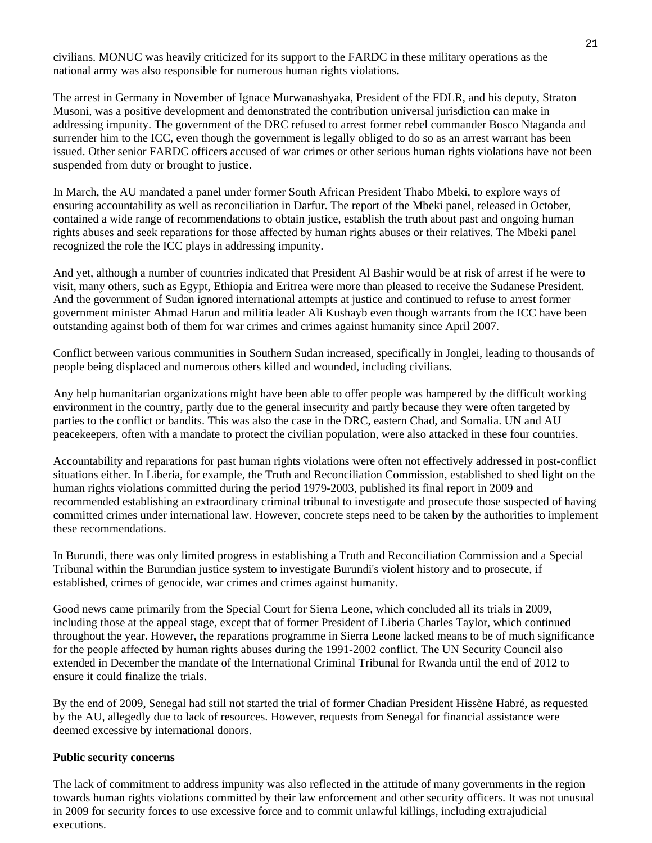civilians. MONUC was heavily criticized for its support to the FARDC in these military operations as the national army was also responsible for numerous human rights violations.

The arrest in Germany in November of Ignace Murwanashyaka, President of the FDLR, and his deputy, Straton Musoni, was a positive development and demonstrated the contribution universal jurisdiction can make in addressing impunity. The government of the DRC refused to arrest former rebel commander Bosco Ntaganda and surrender him to the ICC, even though the government is legally obliged to do so as an arrest warrant has been issued. Other senior FARDC officers accused of war crimes or other serious human rights violations have not been suspended from duty or brought to justice.

In March, the AU mandated a panel under former South African President Thabo Mbeki, to explore ways of ensuring accountability as well as reconciliation in Darfur. The report of the Mbeki panel, released in October, contained a wide range of recommendations to obtain justice, establish the truth about past and ongoing human rights abuses and seek reparations for those affected by human rights abuses or their relatives. The Mbeki panel recognized the role the ICC plays in addressing impunity.

And yet, although a number of countries indicated that President Al Bashir would be at risk of arrest if he were to visit, many others, such as Egypt, Ethiopia and Eritrea were more than pleased to receive the Sudanese President. And the government of Sudan ignored international attempts at justice and continued to refuse to arrest former government minister Ahmad Harun and militia leader Ali Kushayb even though warrants from the ICC have been outstanding against both of them for war crimes and crimes against humanity since April 2007.

Conflict between various communities in Southern Sudan increased, specifically in Jonglei, leading to thousands of people being displaced and numerous others killed and wounded, including civilians.

Any help humanitarian organizations might have been able to offer people was hampered by the difficult working environment in the country, partly due to the general insecurity and partly because they were often targeted by parties to the conflict or bandits. This was also the case in the DRC, eastern Chad, and Somalia. UN and AU peacekeepers, often with a mandate to protect the civilian population, were also attacked in these four countries.

Accountability and reparations for past human rights violations were often not effectively addressed in post-conflict situations either. In Liberia, for example, the Truth and Reconciliation Commission, established to shed light on the human rights violations committed during the period 1979-2003, published its final report in 2009 and recommended establishing an extraordinary criminal tribunal to investigate and prosecute those suspected of having committed crimes under international law. However, concrete steps need to be taken by the authorities to implement these recommendations.

In Burundi, there was only limited progress in establishing a Truth and Reconciliation Commission and a Special Tribunal within the Burundian justice system to investigate Burundi's violent history and to prosecute, if established, crimes of genocide, war crimes and crimes against humanity.

Good news came primarily from the Special Court for Sierra Leone, which concluded all its trials in 2009, including those at the appeal stage, except that of former President of Liberia Charles Taylor, which continued throughout the year. However, the reparations programme in Sierra Leone lacked means to be of much significance for the people affected by human rights abuses during the 1991-2002 conflict. The UN Security Council also extended in December the mandate of the International Criminal Tribunal for Rwanda until the end of 2012 to ensure it could finalize the trials.

By the end of 2009, Senegal had still not started the trial of former Chadian President Hissène Habré, as requested by the AU, allegedly due to lack of resources. However, requests from Senegal for financial assistance were deemed excessive by international donors.

#### **Public security concerns**

The lack of commitment to address impunity was also reflected in the attitude of many governments in the region towards human rights violations committed by their law enforcement and other security officers. It was not unusual in 2009 for security forces to use excessive force and to commit unlawful killings, including extrajudicial executions.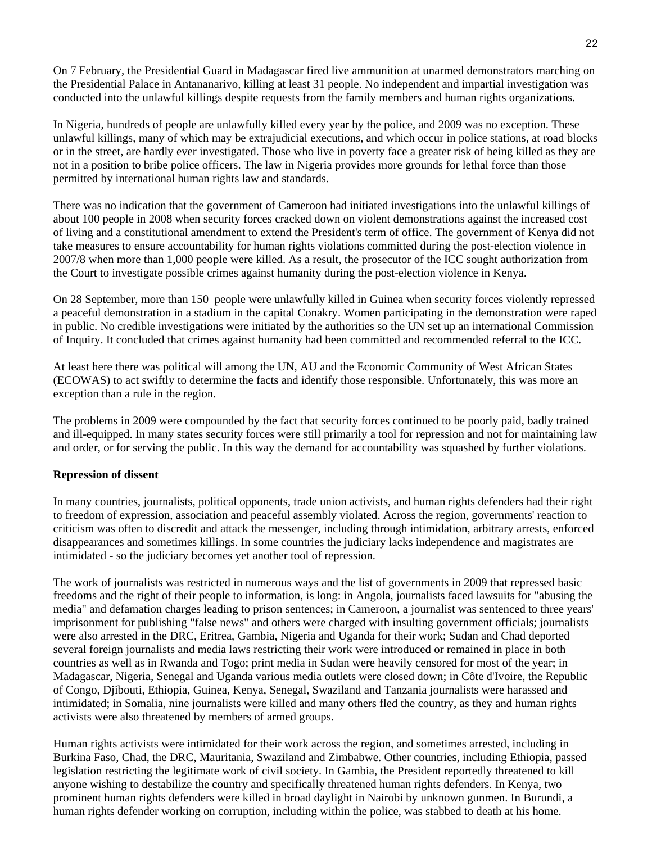On 7 February, the Presidential Guard in Madagascar fired live ammunition at unarmed demonstrators marching on the Presidential Palace in Antananarivo, killing at least 31 people. No independent and impartial investigation was conducted into the unlawful killings despite requests from the family members and human rights organizations.

In Nigeria, hundreds of people are unlawfully killed every year by the police, and 2009 was no exception. These unlawful killings, many of which may be extrajudicial executions, and which occur in police stations, at road blocks or in the street, are hardly ever investigated. Those who live in poverty face a greater risk of being killed as they are not in a position to bribe police officers. The law in Nigeria provides more grounds for lethal force than those permitted by international human rights law and standards.

There was no indication that the government of Cameroon had initiated investigations into the unlawful killings of about 100 people in 2008 when security forces cracked down on violent demonstrations against the increased cost of living and a constitutional amendment to extend the President's term of office. The government of Kenya did not take measures to ensure accountability for human rights violations committed during the post-election violence in 2007/8 when more than 1,000 people were killed. As a result, the prosecutor of the ICC sought authorization from the Court to investigate possible crimes against humanity during the post-election violence in Kenya.

On 28 September, more than 150 people were unlawfully killed in Guinea when security forces violently repressed a peaceful demonstration in a stadium in the capital Conakry. Women participating in the demonstration were raped in public. No credible investigations were initiated by the authorities so the UN set up an international Commission of Inquiry. It concluded that crimes against humanity had been committed and recommended referral to the ICC.

At least here there was political will among the UN, AU and the Economic Community of West African States (ECOWAS) to act swiftly to determine the facts and identify those responsible. Unfortunately, this was more an exception than a rule in the region.

The problems in 2009 were compounded by the fact that security forces continued to be poorly paid, badly trained and ill-equipped. In many states security forces were still primarily a tool for repression and not for maintaining law and order, or for serving the public. In this way the demand for accountability was squashed by further violations.

#### **Repression of dissent**

In many countries, journalists, political opponents, trade union activists, and human rights defenders had their right to freedom of expression, association and peaceful assembly violated. Across the region, governments' reaction to criticism was often to discredit and attack the messenger, including through intimidation, arbitrary arrests, enforced disappearances and sometimes killings. In some countries the judiciary lacks independence and magistrates are intimidated - so the judiciary becomes yet another tool of repression.

The work of journalists was restricted in numerous ways and the list of governments in 2009 that repressed basic freedoms and the right of their people to information, is long: in Angola, journalists faced lawsuits for "abusing the media" and defamation charges leading to prison sentences; in Cameroon, a journalist was sentenced to three years' imprisonment for publishing "false news" and others were charged with insulting government officials; journalists were also arrested in the DRC, Eritrea, Gambia, Nigeria and Uganda for their work; Sudan and Chad deported several foreign journalists and media laws restricting their work were introduced or remained in place in both countries as well as in Rwanda and Togo; print media in Sudan were heavily censored for most of the year; in Madagascar, Nigeria, Senegal and Uganda various media outlets were closed down; in Côte d'Ivoire, the Republic of Congo, Djibouti, Ethiopia, Guinea, Kenya, Senegal, Swaziland and Tanzania journalists were harassed and intimidated; in Somalia, nine journalists were killed and many others fled the country, as they and human rights activists were also threatened by members of armed groups.

Human rights activists were intimidated for their work across the region, and sometimes arrested, including in Burkina Faso, Chad, the DRC, Mauritania, Swaziland and Zimbabwe. Other countries, including Ethiopia, passed legislation restricting the legitimate work of civil society. In Gambia, the President reportedly threatened to kill anyone wishing to destabilize the country and specifically threatened human rights defenders. In Kenya, two prominent human rights defenders were killed in broad daylight in Nairobi by unknown gunmen. In Burundi, a human rights defender working on corruption, including within the police, was stabbed to death at his home.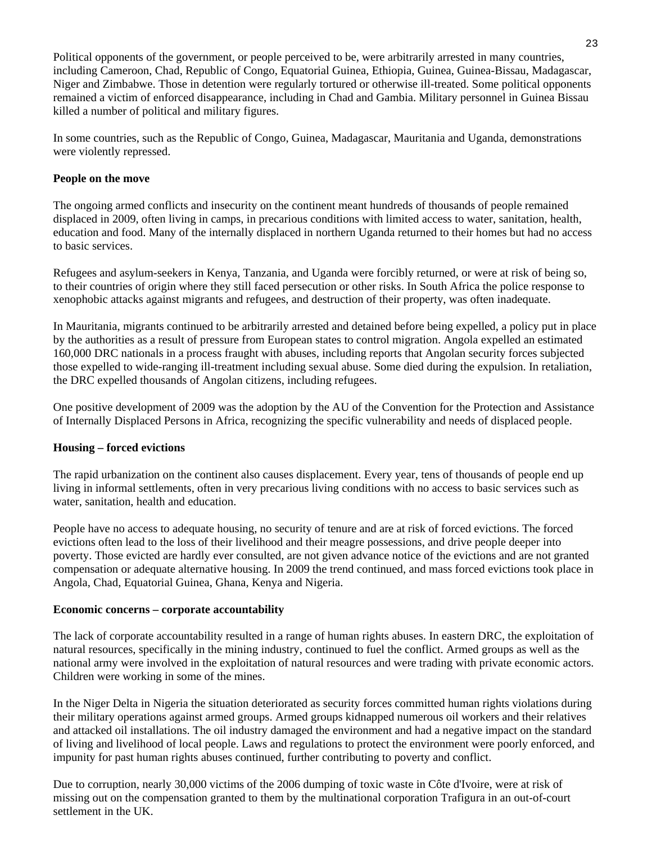Political opponents of the government, or people perceived to be, were arbitrarily arrested in many countries, including Cameroon, Chad, Republic of Congo, Equatorial Guinea, Ethiopia, Guinea, Guinea-Bissau, Madagascar, Niger and Zimbabwe. Those in detention were regularly tortured or otherwise ill-treated. Some political opponents remained a victim of enforced disappearance, including in Chad and Gambia. Military personnel in Guinea Bissau killed a number of political and military figures.

In some countries, such as the Republic of Congo, Guinea, Madagascar, Mauritania and Uganda, demonstrations were violently repressed.

#### **People on the move**

The ongoing armed conflicts and insecurity on the continent meant hundreds of thousands of people remained displaced in 2009, often living in camps, in precarious conditions with limited access to water, sanitation, health, education and food. Many of the internally displaced in northern Uganda returned to their homes but had no access to basic services.

Refugees and asylum-seekers in Kenya, Tanzania, and Uganda were forcibly returned, or were at risk of being so, to their countries of origin where they still faced persecution or other risks. In South Africa the police response to xenophobic attacks against migrants and refugees, and destruction of their property, was often inadequate.

In Mauritania, migrants continued to be arbitrarily arrested and detained before being expelled, a policy put in place by the authorities as a result of pressure from European states to control migration. Angola expelled an estimated 160,000 DRC nationals in a process fraught with abuses, including reports that Angolan security forces subjected those expelled to wide-ranging ill-treatment including sexual abuse. Some died during the expulsion. In retaliation, the DRC expelled thousands of Angolan citizens, including refugees.

One positive development of 2009 was the adoption by the AU of the Convention for the Protection and Assistance of Internally Displaced Persons in Africa, recognizing the specific vulnerability and needs of displaced people.

# **Housing – forced evictions**

The rapid urbanization on the continent also causes displacement. Every year, tens of thousands of people end up living in informal settlements, often in very precarious living conditions with no access to basic services such as water, sanitation, health and education.

People have no access to adequate housing, no security of tenure and are at risk of forced evictions. The forced evictions often lead to the loss of their livelihood and their meagre possessions, and drive people deeper into poverty. Those evicted are hardly ever consulted, are not given advance notice of the evictions and are not granted compensation or adequate alternative housing. In 2009 the trend continued, and mass forced evictions took place in Angola, Chad, Equatorial Guinea, Ghana, Kenya and Nigeria.

#### **Economic concerns – corporate accountability**

The lack of corporate accountability resulted in a range of human rights abuses. In eastern DRC, the exploitation of natural resources, specifically in the mining industry, continued to fuel the conflict. Armed groups as well as the national army were involved in the exploitation of natural resources and were trading with private economic actors. Children were working in some of the mines.

In the Niger Delta in Nigeria the situation deteriorated as security forces committed human rights violations during their military operations against armed groups. Armed groups kidnapped numerous oil workers and their relatives and attacked oil installations. The oil industry damaged the environment and had a negative impact on the standard of living and livelihood of local people. Laws and regulations to protect the environment were poorly enforced, and impunity for past human rights abuses continued, further contributing to poverty and conflict.

Due to corruption, nearly 30,000 victims of the 2006 dumping of toxic waste in Côte d'Ivoire, were at risk of missing out on the compensation granted to them by the multinational corporation Trafigura in an out-of-court settlement in the UK.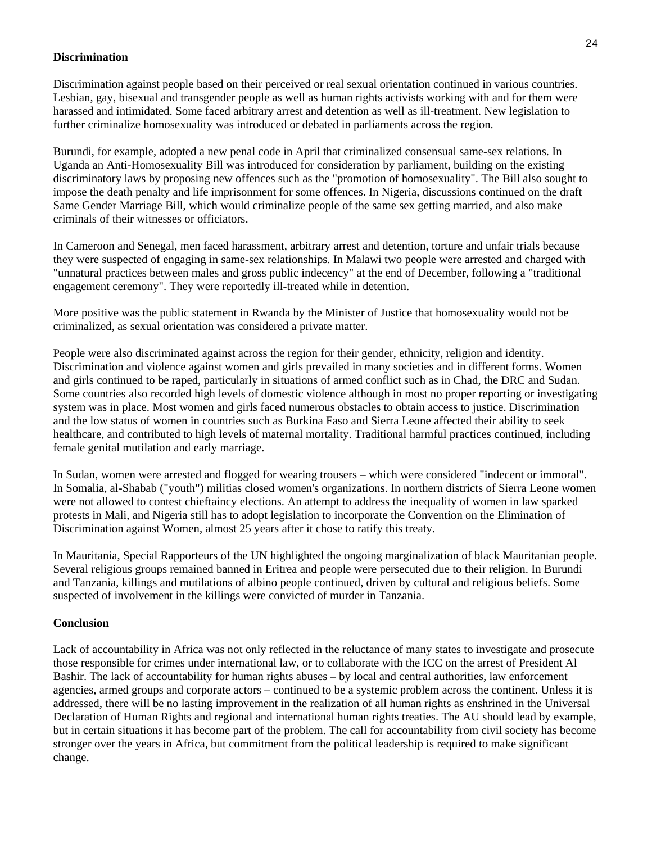#### **Discrimination**

Discrimination against people based on their perceived or real sexual orientation continued in various countries. Lesbian, gay, bisexual and transgender people as well as human rights activists working with and for them were harassed and intimidated. Some faced arbitrary arrest and detention as well as ill-treatment. New legislation to further criminalize homosexuality was introduced or debated in parliaments across the region.

Burundi, for example, adopted a new penal code in April that criminalized consensual same-sex relations. In Uganda an Anti-Homosexuality Bill was introduced for consideration by parliament, building on the existing discriminatory laws by proposing new offences such as the "promotion of homosexuality". The Bill also sought to impose the death penalty and life imprisonment for some offences. In Nigeria, discussions continued on the draft Same Gender Marriage Bill, which would criminalize people of the same sex getting married, and also make criminals of their witnesses or officiators.

In Cameroon and Senegal, men faced harassment, arbitrary arrest and detention, torture and unfair trials because they were suspected of engaging in same-sex relationships. In Malawi two people were arrested and charged with "unnatural practices between males and gross public indecency" at the end of December, following a "traditional engagement ceremony". They were reportedly ill-treated while in detention.

More positive was the public statement in Rwanda by the Minister of Justice that homosexuality would not be criminalized, as sexual orientation was considered a private matter.

People were also discriminated against across the region for their gender, ethnicity, religion and identity. Discrimination and violence against women and girls prevailed in many societies and in different forms. Women and girls continued to be raped, particularly in situations of armed conflict such as in Chad, the DRC and Sudan. Some countries also recorded high levels of domestic violence although in most no proper reporting or investigating system was in place. Most women and girls faced numerous obstacles to obtain access to justice. Discrimination and the low status of women in countries such as Burkina Faso and Sierra Leone affected their ability to seek healthcare, and contributed to high levels of maternal mortality. Traditional harmful practices continued, including female genital mutilation and early marriage.

In Sudan, women were arrested and flogged for wearing trousers – which were considered "indecent or immoral". In Somalia, al-Shabab ("youth") militias closed women's organizations. In northern districts of Sierra Leone women were not allowed to contest chieftaincy elections. An attempt to address the inequality of women in law sparked protests in Mali, and Nigeria still has to adopt legislation to incorporate the Convention on the Elimination of Discrimination against Women, almost 25 years after it chose to ratify this treaty.

In Mauritania, Special Rapporteurs of the UN highlighted the ongoing marginalization of black Mauritanian people. Several religious groups remained banned in Eritrea and people were persecuted due to their religion. In Burundi and Tanzania, killings and mutilations of albino people continued, driven by cultural and religious beliefs. Some suspected of involvement in the killings were convicted of murder in Tanzania.

#### **Conclusion**

Lack of accountability in Africa was not only reflected in the reluctance of many states to investigate and prosecute those responsible for crimes under international law, or to collaborate with the ICC on the arrest of President Al Bashir. The lack of accountability for human rights abuses – by local and central authorities, law enforcement agencies, armed groups and corporate actors – continued to be a systemic problem across the continent. Unless it is addressed, there will be no lasting improvement in the realization of all human rights as enshrined in the Universal Declaration of Human Rights and regional and international human rights treaties. The AU should lead by example, but in certain situations it has become part of the problem. The call for accountability from civil society has become stronger over the years in Africa, but commitment from the political leadership is required to make significant change.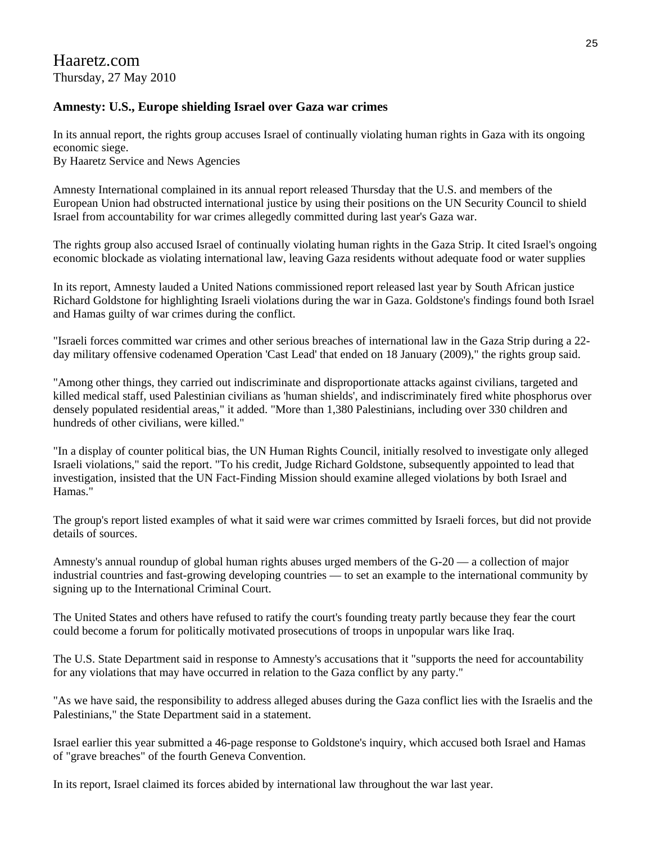# **Amnesty: U.S., Europe shielding Israel over Gaza war crimes**

In its annual report, the rights group accuses Israel of continually violating human rights in Gaza with its ongoing economic siege.

By Haaretz Service and News Agencies

Amnesty International complained in its annual report released Thursday that the U.S. and members of the European Union had obstructed international justice by using their positions on the UN Security Council to shield Israel from accountability for war crimes allegedly committed during last year's Gaza war.

The rights group also accused Israel of continually violating human rights in the Gaza Strip. It cited Israel's ongoing economic blockade as violating international law, leaving Gaza residents without adequate food or water supplies

In its report, Amnesty lauded a United Nations commissioned report released last year by South African justice Richard Goldstone for highlighting Israeli violations during the war in Gaza. Goldstone's findings found both Israel and Hamas guilty of war crimes during the conflict.

"Israeli forces committed war crimes and other serious breaches of international law in the Gaza Strip during a 22 day military offensive codenamed Operation 'Cast Lead' that ended on 18 January (2009)," the rights group said.

"Among other things, they carried out indiscriminate and disproportionate attacks against civilians, targeted and killed medical staff, used Palestinian civilians as 'human shields', and indiscriminately fired white phosphorus over densely populated residential areas," it added. "More than 1,380 Palestinians, including over 330 children and hundreds of other civilians, were killed."

"In a display of counter political bias, the UN Human Rights Council, initially resolved to investigate only alleged Israeli violations," said the report. "To his credit, Judge Richard Goldstone, subsequently appointed to lead that investigation, insisted that the UN Fact-Finding Mission should examine alleged violations by both Israel and Hamas."

The group's report listed examples of what it said were war crimes committed by Israeli forces, but did not provide details of sources.

Amnesty's annual roundup of global human rights abuses urged members of the G-20 — a collection of major industrial countries and fast-growing developing countries — to set an example to the international community by signing up to the International Criminal Court.

The United States and others have refused to ratify the court's founding treaty partly because they fear the court could become a forum for politically motivated prosecutions of troops in unpopular wars like Iraq.

The U.S. State Department said in response to Amnesty's accusations that it "supports the need for accountability for any violations that may have occurred in relation to the Gaza conflict by any party."

"As we have said, the responsibility to address alleged abuses during the Gaza conflict lies with the Israelis and the Palestinians," the State Department said in a statement.

Israel earlier this year submitted a 46-page response to Goldstone's inquiry, which accused both Israel and Hamas of "grave breaches" of the fourth Geneva Convention.

In its report, Israel claimed its forces abided by international law throughout the war last year.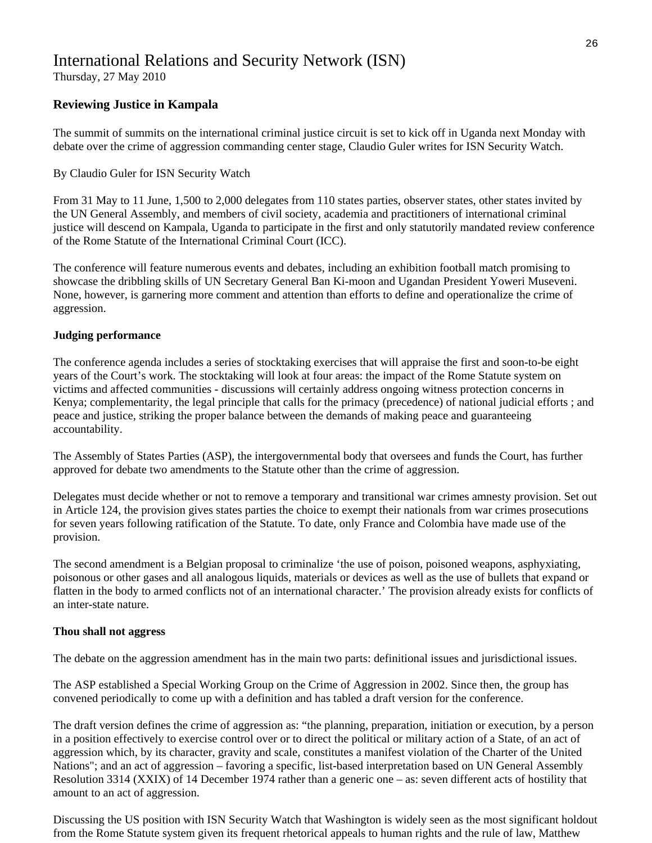# International Relations and Security Network (ISN)

Thursday, 27 May 2010

# **Reviewing Justice in Kampala**

The summit of summits on the international criminal justice circuit is set to kick off in Uganda next Monday with debate over the crime of aggression commanding center stage, Claudio Guler writes for ISN Security Watch.

#### By Claudio Guler for ISN Security Watch

From 31 May to 11 June, 1,500 to 2,000 delegates from 110 states parties, observer states, other states invited by the UN General Assembly, and members of civil society, academia and practitioners of international criminal justice will descend on Kampala, Uganda to participate in the first and only statutorily mandated review conference of the Rome Statute of the International Criminal Court (ICC).

The conference will feature numerous events and debates, including an exhibition football match promising to showcase the dribbling skills of UN Secretary General Ban Ki-moon and Ugandan President Yoweri Museveni. None, however, is garnering more comment and attention than efforts to define and operationalize the crime of aggression.

#### **Judging performance**

The conference agenda includes a series of stocktaking exercises that will appraise the first and soon-to-be eight years of the Court's work. The stocktaking will look at four areas: the impact of the Rome Statute system on victims and affected communities - discussions will certainly address ongoing witness protection concerns in Kenya; complementarity, the legal principle that calls for the primacy (precedence) of national judicial efforts ; and peace and justice, striking the proper balance between the demands of making peace and guaranteeing accountability.

The Assembly of States Parties (ASP), the intergovernmental body that oversees and funds the Court, has further approved for debate two amendments to the Statute other than the crime of aggression.

Delegates must decide whether or not to remove a temporary and transitional war crimes amnesty provision. Set out in Article 124, the provision gives states parties the choice to exempt their nationals from war crimes prosecutions for seven years following ratification of the Statute. To date, only France and Colombia have made use of the provision.

The second amendment is a Belgian proposal to criminalize 'the use of poison, poisoned weapons, asphyxiating, poisonous or other gases and all analogous liquids, materials or devices as well as the use of bullets that expand or flatten in the body to armed conflicts not of an international character.' The provision already exists for conflicts of an inter-state nature.

#### **Thou shall not aggress**

The debate on the aggression amendment has in the main two parts: definitional issues and jurisdictional issues.

The ASP established a Special Working Group on the Crime of Aggression in 2002. Since then, the group has convened periodically to come up with a definition and has tabled a draft version for the conference.

The draft version defines the crime of aggression as: "the planning, preparation, initiation or execution, by a person in a position effectively to exercise control over or to direct the political or military action of a State, of an act of aggression which, by its character, gravity and scale, constitutes a manifest violation of the Charter of the United Nations"; and an act of aggression – favoring a specific, list-based interpretation based on UN General Assembly Resolution 3314 (XXIX) of 14 December 1974 rather than a generic one – as: seven different acts of hostility that amount to an act of aggression.

Discussing the US position with ISN Security Watch that Washington is widely seen as the most significant holdout from the Rome Statute system given its frequent rhetorical appeals to human rights and the rule of law, Matthew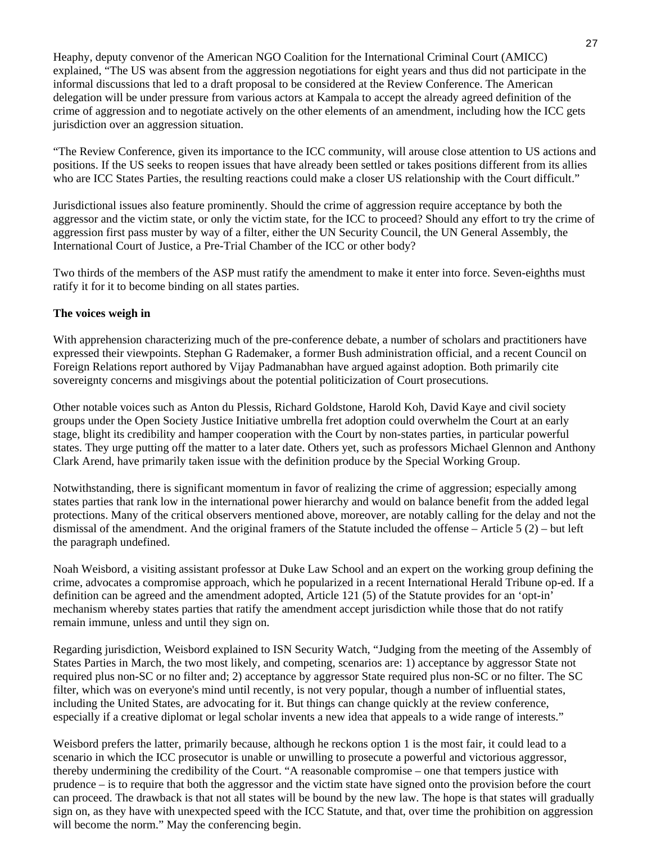Heaphy, deputy convenor of the American NGO Coalition for the International Criminal Court (AMICC) explained, "The US was absent from the aggression negotiations for eight years and thus did not participate in the informal discussions that led to a draft proposal to be considered at the Review Conference. The American delegation will be under pressure from various actors at Kampala to accept the already agreed definition of the crime of aggression and to negotiate actively on the other elements of an amendment, including how the ICC gets jurisdiction over an aggression situation.

"The Review Conference, given its importance to the ICC community, will arouse close attention to US actions and positions. If the US seeks to reopen issues that have already been settled or takes positions different from its allies who are ICC States Parties, the resulting reactions could make a closer US relationship with the Court difficult."

Jurisdictional issues also feature prominently. Should the crime of aggression require acceptance by both the aggressor and the victim state, or only the victim state, for the ICC to proceed? Should any effort to try the crime of aggression first pass muster by way of a filter, either the UN Security Council, the UN General Assembly, the International Court of Justice, a Pre-Trial Chamber of the ICC or other body?

Two thirds of the members of the ASP must ratify the amendment to make it enter into force. Seven-eighths must ratify it for it to become binding on all states parties.

#### **The voices weigh in**

With apprehension characterizing much of the pre-conference debate, a number of scholars and practitioners have expressed their viewpoints. Stephan G Rademaker, a former Bush administration official, and a recent Council on Foreign Relations report authored by Vijay Padmanabhan have argued against adoption. Both primarily cite sovereignty concerns and misgivings about the potential politicization of Court prosecutions.

Other notable voices such as Anton du Plessis, Richard Goldstone, Harold Koh, David Kaye and civil society groups under the Open Society Justice Initiative umbrella fret adoption could overwhelm the Court at an early stage, blight its credibility and hamper cooperation with the Court by non-states parties, in particular powerful states. They urge putting off the matter to a later date. Others yet, such as professors Michael Glennon and Anthony Clark Arend, have primarily taken issue with the definition produce by the Special Working Group.

Notwithstanding, there is significant momentum in favor of realizing the crime of aggression; especially among states parties that rank low in the international power hierarchy and would on balance benefit from the added legal protections. Many of the critical observers mentioned above, moreover, are notably calling for the delay and not the dismissal of the amendment. And the original framers of the Statute included the offense – Article 5 (2) – but left the paragraph undefined.

Noah Weisbord, a visiting assistant professor at Duke Law School and an expert on the working group defining the crime, advocates a compromise approach, which he popularized in a recent International Herald Tribune op-ed. If a definition can be agreed and the amendment adopted, Article 121 (5) of the Statute provides for an 'opt-in' mechanism whereby states parties that ratify the amendment accept jurisdiction while those that do not ratify remain immune, unless and until they sign on.

Regarding jurisdiction, Weisbord explained to ISN Security Watch, "Judging from the meeting of the Assembly of States Parties in March, the two most likely, and competing, scenarios are: 1) acceptance by aggressor State not required plus non-SC or no filter and; 2) acceptance by aggressor State required plus non-SC or no filter. The SC filter, which was on everyone's mind until recently, is not very popular, though a number of influential states, including the United States, are advocating for it. But things can change quickly at the review conference, especially if a creative diplomat or legal scholar invents a new idea that appeals to a wide range of interests."

Weisbord prefers the latter, primarily because, although he reckons option 1 is the most fair, it could lead to a scenario in which the ICC prosecutor is unable or unwilling to prosecute a powerful and victorious aggressor, thereby undermining the credibility of the Court. "A reasonable compromise – one that tempers justice with prudence – is to require that both the aggressor and the victim state have signed onto the provision before the court can proceed. The drawback is that not all states will be bound by the new law. The hope is that states will gradually sign on, as they have with unexpected speed with the ICC Statute, and that, over time the prohibition on aggression will become the norm." May the conferencing begin.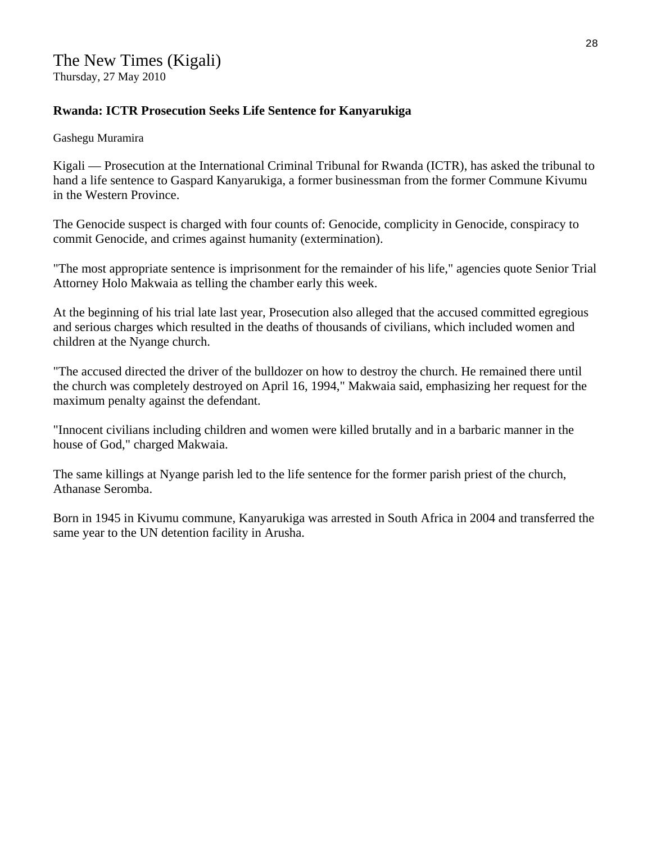Thursday, 27 May 2010

# **Rwanda: ICTR Prosecution Seeks Life Sentence for Kanyarukiga**

Gashegu Muramira

Kigali — Prosecution at the International Criminal Tribunal for Rwanda (ICTR), has asked the tribunal to hand a life sentence to Gaspard Kanyarukiga, a former businessman from the former Commune Kivumu in the Western Province.

The Genocide suspect is charged with four counts of: Genocide, complicity in Genocide, conspiracy to commit Genocide, and crimes against humanity (extermination).

"The most appropriate sentence is imprisonment for the remainder of his life," agencies quote Senior Trial Attorney Holo Makwaia as telling the chamber early this week.

At the beginning of his trial late last year, Prosecution also alleged that the accused committed egregious and serious charges which resulted in the deaths of thousands of civilians, which included women and children at the Nyange church.

"The accused directed the driver of the bulldozer on how to destroy the church. He remained there until the church was completely destroyed on April 16, 1994," Makwaia said, emphasizing her request for the maximum penalty against the defendant.

"Innocent civilians including children and women were killed brutally and in a barbaric manner in the house of God," charged Makwaia.

The same killings at Nyange parish led to the life sentence for the former parish priest of the church, Athanase Seromba.

Born in 1945 in Kivumu commune, Kanyarukiga was arrested in South Africa in 2004 and transferred the same year to the UN detention facility in Arusha.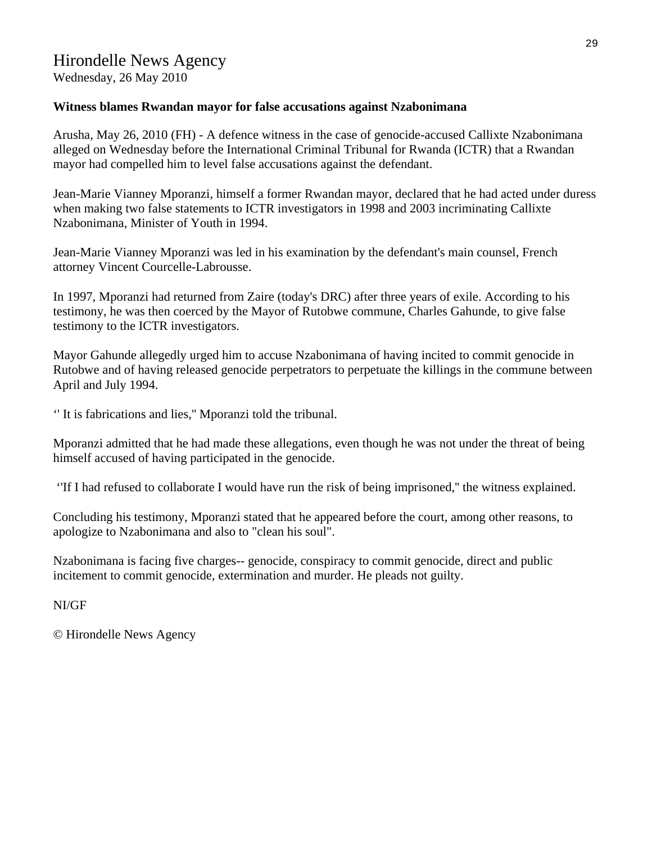Wednesday, 26 May 2010

# **Witness blames Rwandan mayor for false accusations against Nzabonimana**

Arusha, May 26, 2010 (FH) - A defence witness in the case of genocide-accused Callixte Nzabonimana alleged on Wednesday before the International Criminal Tribunal for Rwanda (ICTR) that a Rwandan mayor had compelled him to level false accusations against the defendant.

Jean-Marie Vianney Mporanzi, himself a former Rwandan mayor, declared that he had acted under duress when making two false statements to ICTR investigators in 1998 and 2003 incriminating Callixte Nzabonimana, Minister of Youth in 1994.

Jean-Marie Vianney Mporanzi was led in his examination by the defendant's main counsel, French attorney Vincent Courcelle-Labrousse.

In 1997, Mporanzi had returned from Zaire (today's DRC) after three years of exile. According to his testimony, he was then coerced by the Mayor of Rutobwe commune, Charles Gahunde, to give false testimony to the ICTR investigators.

Mayor Gahunde allegedly urged him to accuse Nzabonimana of having incited to commit genocide in Rutobwe and of having released genocide perpetrators to perpetuate the killings in the commune between April and July 1994.

'' It is fabrications and lies,'' Mporanzi told the tribunal.

Mporanzi admitted that he had made these allegations, even though he was not under the threat of being himself accused of having participated in the genocide.

''If I had refused to collaborate I would have run the risk of being imprisoned,'' the witness explained.

Concluding his testimony, Mporanzi stated that he appeared before the court, among other reasons, to apologize to Nzabonimana and also to "clean his soul".

Nzabonimana is facing five charges-- genocide, conspiracy to commit genocide, direct and public incitement to commit genocide, extermination and murder. He pleads not guilty.

NI/GF

© Hirondelle News Agency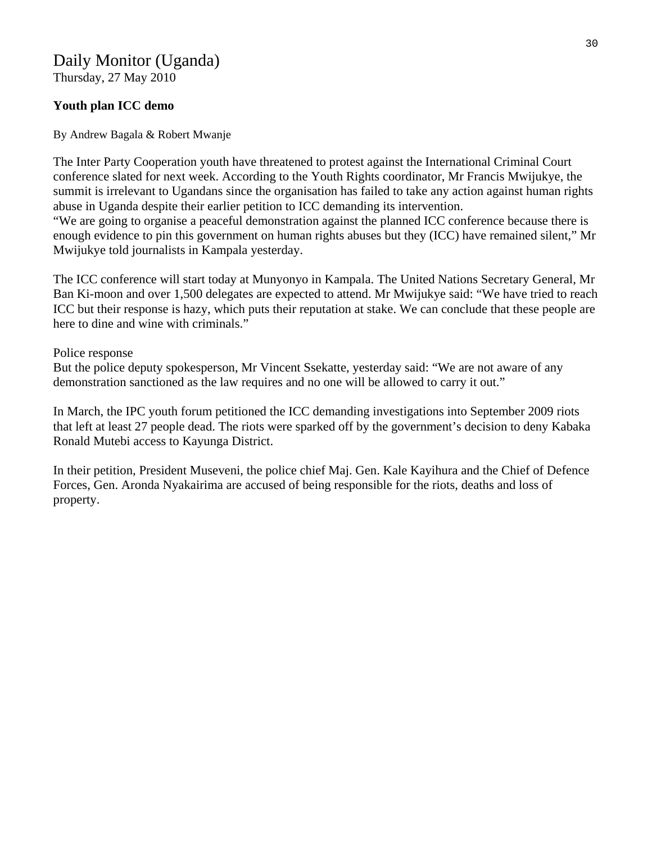# Daily Monitor (Uganda)

Thursday, 27 May 2010

# **Youth plan ICC demo**

By Andrew Bagala & Robert Mwanje

The Inter Party Cooperation youth have threatened to protest against the International Criminal Court conference slated for next week. According to the Youth Rights coordinator, Mr Francis Mwijukye, the summit is irrelevant to Ugandans since the organisation has failed to take any action against human rights abuse in Uganda despite their earlier petition to ICC demanding its intervention.

"We are going to organise a peaceful demonstration against the planned ICC conference because there is enough evidence to pin this government on human rights abuses but they (ICC) have remained silent," Mr Mwijukye told journalists in Kampala yesterday.

The ICC conference will start today at Munyonyo in Kampala. The United Nations Secretary General, Mr Ban Ki-moon and over 1,500 delegates are expected to attend. Mr Mwijukye said: "We have tried to reach ICC but their response is hazy, which puts their reputation at stake. We can conclude that these people are here to dine and wine with criminals."

# Police response

But the police deputy spokesperson, Mr Vincent Ssekatte, yesterday said: "We are not aware of any demonstration sanctioned as the law requires and no one will be allowed to carry it out."

In March, the IPC youth forum petitioned the ICC demanding investigations into September 2009 riots that left at least 27 people dead. The riots were sparked off by the government's decision to deny Kabaka Ronald Mutebi access to Kayunga District.

In their petition, President Museveni, the police chief Maj. Gen. Kale Kayihura and the Chief of Defence Forces, Gen. Aronda Nyakairima are accused of being responsible for the riots, deaths and loss of property.